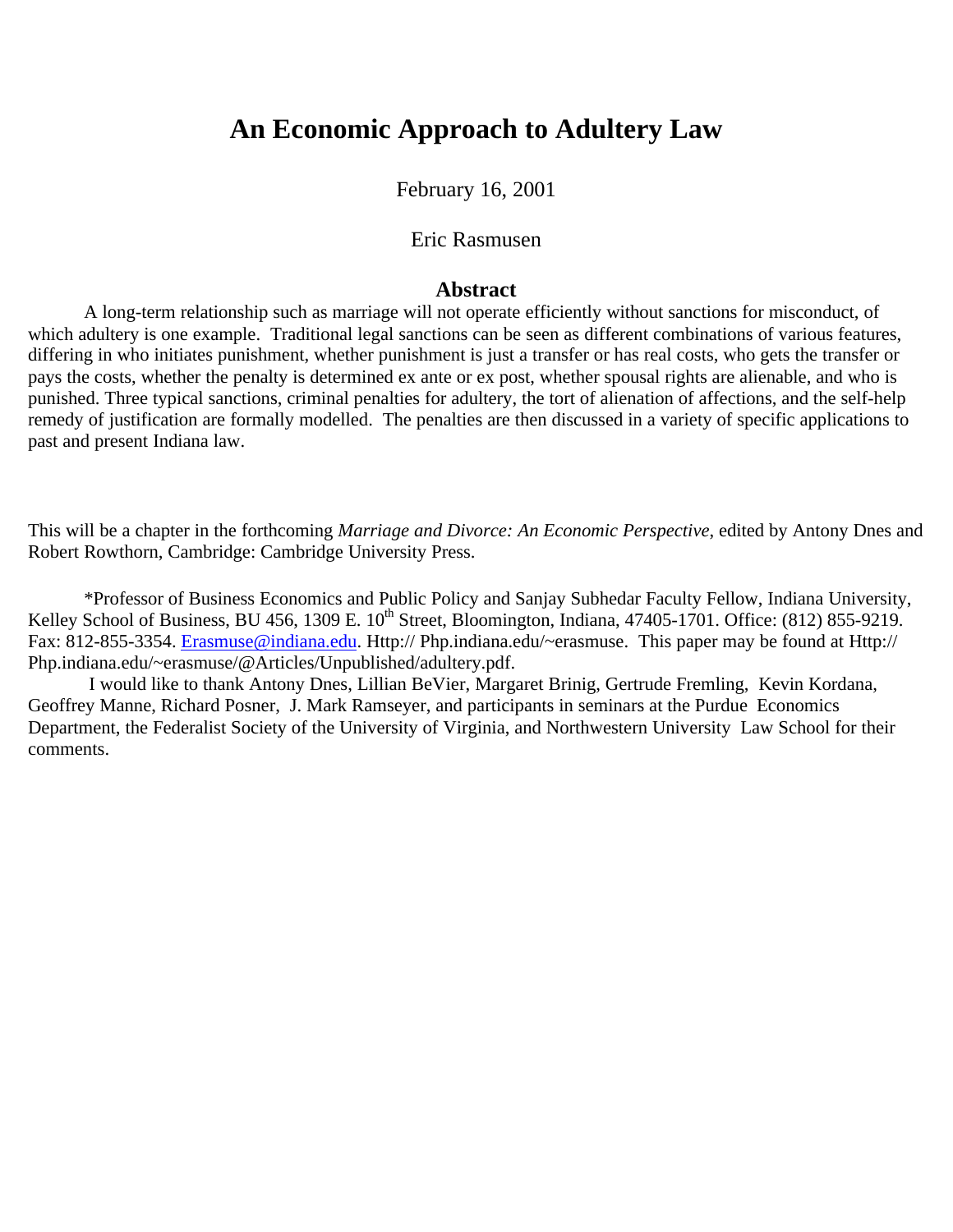# **An Economic Approach to Adultery Law**

February 16, 2001

#### Eric Rasmusen

#### **Abstract**

A long-term relationship such as marriage will not operate efficiently without sanctions for misconduct, of which adultery is one example. Traditional legal sanctions can be seen as different combinations of various features, differing in who initiates punishment, whether punishment is just a transfer or has real costs, who gets the transfer or pays the costs, whether the penalty is determined ex ante or ex post, whether spousal rights are alienable, and who is punished. Three typical sanctions, criminal penalties for adultery, the tort of alienation of affections, and the self-help remedy of justification are formally modelled. The penalties are then discussed in a variety of specific applications to past and present Indiana law.

This will be a chapter in the forthcoming *Marriage and Divorce: An Economic Perspective*, edited by Antony Dnes and Robert Rowthorn, Cambridge: Cambridge University Press.

\*Professor of Business Economics and Public Policy and Sanjay Subhedar Faculty Fellow, Indiana University, Kelley School of Business, BU 456, 1309 E.  $10^{th}$  Street, Bloomington, Indiana, 47405-1701. Office: (812) 855-9219. Fax: 812-855-3354. Erasmuse@indiana.edu. Http:// Php.indiana.edu/~erasmuse. This paper may be found at Http:// Php.indiana.edu/~erasmuse/@Articles/Unpublished/adultery.pdf.

 I would like to thank Antony Dnes, Lillian BeVier, Margaret Brinig, Gertrude Fremling, Kevin Kordana, Geoffrey Manne, Richard Posner, J. Mark Ramseyer, and participants in seminars at the Purdue Economics Department, the Federalist Society of the University of Virginia, and Northwestern University Law School for their comments.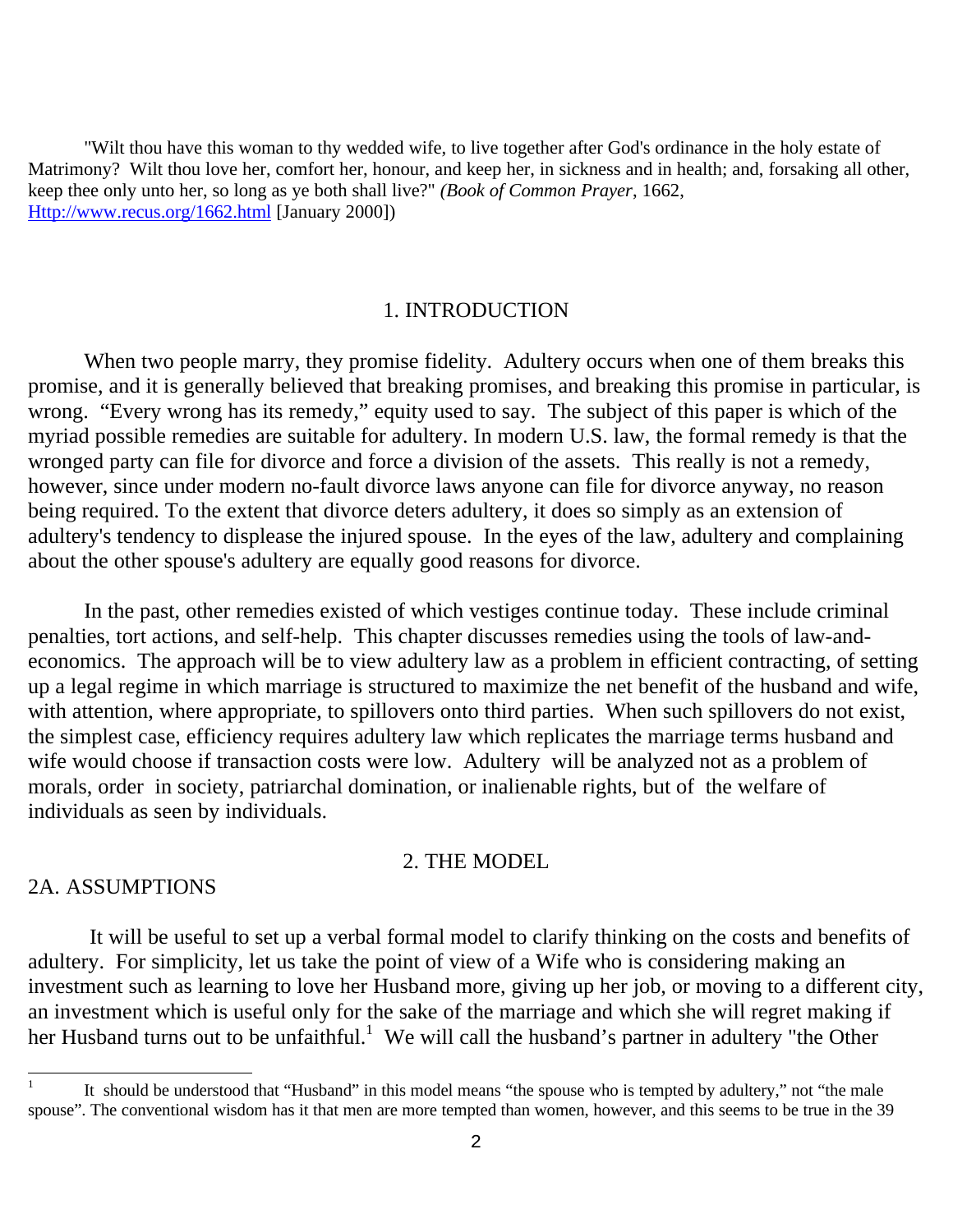"Wilt thou have this woman to thy wedded wife, to live together after God's ordinance in the holy estate of Matrimony? Wilt thou love her, comfort her, honour, and keep her, in sickness and in health; and, forsaking all other, keep thee only unto her, so long as ye both shall live?" *(Book of Common Prayer*, 1662, Http://www.recus.org/1662.html [January 2000])

## 1. INTRODUCTION

When two people marry, they promise fidelity. Adultery occurs when one of them breaks this promise, and it is generally believed that breaking promises, and breaking this promise in particular, is wrong. "Every wrong has its remedy," equity used to say. The subject of this paper is which of the myriad possible remedies are suitable for adultery. In modern U.S. law, the formal remedy is that the wronged party can file for divorce and force a division of the assets. This really is not a remedy, however, since under modern no-fault divorce laws anyone can file for divorce anyway, no reason being required. To the extent that divorce deters adultery, it does so simply as an extension of adultery's tendency to displease the injured spouse. In the eyes of the law, adultery and complaining about the other spouse's adultery are equally good reasons for divorce.

In the past, other remedies existed of which vestiges continue today. These include criminal penalties, tort actions, and self-help. This chapter discusses remedies using the tools of law-andeconomics. The approach will be to view adultery law as a problem in efficient contracting, of setting up a legal regime in which marriage is structured to maximize the net benefit of the husband and wife, with attention, where appropriate, to spillovers onto third parties. When such spillovers do not exist, the simplest case, efficiency requires adultery law which replicates the marriage terms husband and wife would choose if transaction costs were low. Adultery will be analyzed not as a problem of morals, order in society, patriarchal domination, or inalienable rights, but of the welfare of individuals as seen by individuals.

## 2. THE MODEL

## 2A. ASSUMPTIONS

 It will be useful to set up a verbal formal model to clarify thinking on the costs and benefits of adultery. For simplicity, let us take the point of view of a Wife who is considering making an investment such as learning to love her Husband more, giving up her job, or moving to a different city, an investment which is useful only for the sake of the marriage and which she will regret making if her Husband turns out to be unfaithful.<sup>1</sup> We will call the husband's partner in adultery "the Other

 $\frac{1}{1}$ It should be understood that "Husband" in this model means "the spouse who is tempted by adultery," not "the male spouse". The conventional wisdom has it that men are more tempted than women, however, and this seems to be true in the 39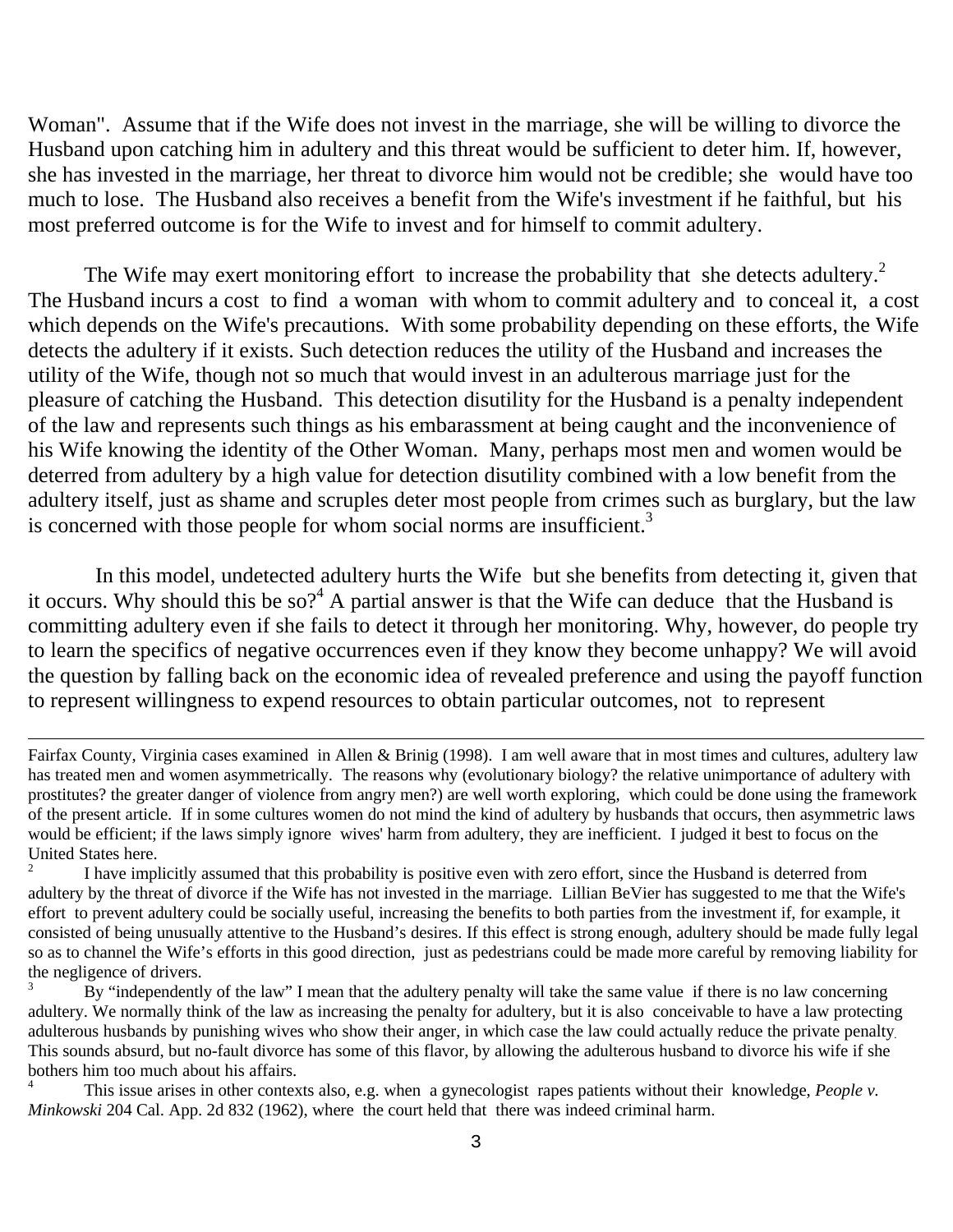Woman". Assume that if the Wife does not invest in the marriage, she will be willing to divorce the Husband upon catching him in adultery and this threat would be sufficient to deter him. If, however, she has invested in the marriage, her threat to divorce him would not be credible; she would have too much to lose. The Husband also receives a benefit from the Wife's investment if he faithful, but his most preferred outcome is for the Wife to invest and for himself to commit adultery.

The Wife may exert monitoring effort to increase the probability that she detects adultery.<sup>2</sup> The Husband incurs a cost to find a woman with whom to commit adultery and to conceal it, a cost which depends on the Wife's precautions. With some probability depending on these efforts, the Wife detects the adultery if it exists. Such detection reduces the utility of the Husband and increases the utility of the Wife, though not so much that would invest in an adulterous marriage just for the pleasure of catching the Husband. This detection disutility for the Husband is a penalty independent of the law and represents such things as his embarassment at being caught and the inconvenience of his Wife knowing the identity of the Other Woman. Many, perhaps most men and women would be deterred from adultery by a high value for detection disutility combined with a low benefit from the adultery itself, just as shame and scruples deter most people from crimes such as burglary, but the law is concerned with those people for whom social norms are insufficient.<sup>3</sup>

 In this model, undetected adultery hurts the Wife but she benefits from detecting it, given that it occurs. Why should this be so?<sup>4</sup> A partial answer is that the Wife can deduce that the Husband is committing adultery even if she fails to detect it through her monitoring. Why, however, do people try to learn the specifics of negative occurrences even if they know they become unhappy? We will avoid the question by falling back on the economic idea of revealed preference and using the payoff function to represent willingness to expend resources to obtain particular outcomes, not to represent

-

Fairfax County, Virginia cases examined in Allen & Brinig (1998). I am well aware that in most times and cultures, adultery law has treated men and women asymmetrically. The reasons why (evolutionary biology? the relative unimportance of adultery with prostitutes? the greater danger of violence from angry men?) are well worth exploring, which could be done using the framework of the present article. If in some cultures women do not mind the kind of adultery by husbands that occurs, then asymmetric laws would be efficient; if the laws simply ignore wives' harm from adultery, they are inefficient. I judged it best to focus on the United States here.

<sup>2</sup> I have implicitly assumed that this probability is positive even with zero effort, since the Husband is deterred from adultery by the threat of divorce if the Wife has not invested in the marriage. Lillian BeVier has suggested to me that the Wife's effort to prevent adultery could be socially useful, increasing the benefits to both parties from the investment if, for example, it consisted of being unusually attentive to the Husband's desires. If this effect is strong enough, adultery should be made fully legal so as to channel the Wife's efforts in this good direction, just as pedestrians could be made more careful by removing liability for the negligence of drivers.

<sup>3</sup> By "independently of the law" I mean that the adultery penalty will take the same value if there is no law concerning adultery. We normally think of the law as increasing the penalty for adultery, but it is also conceivable to have a law protecting adulterous husbands by punishing wives who show their anger, in which case the law could actually reduce the private penalty*.* This sounds absurd, but no-fault divorce has some of this flavor, by allowing the adulterous husband to divorce his wife if she bothers him too much about his affairs.

This issue arises in other contexts also, e.g. when a gynecologist rapes patients without their knowledge, *People v. Minkowski* 204 Cal. App. 2d 832 (1962), where the court held that there was indeed criminal harm.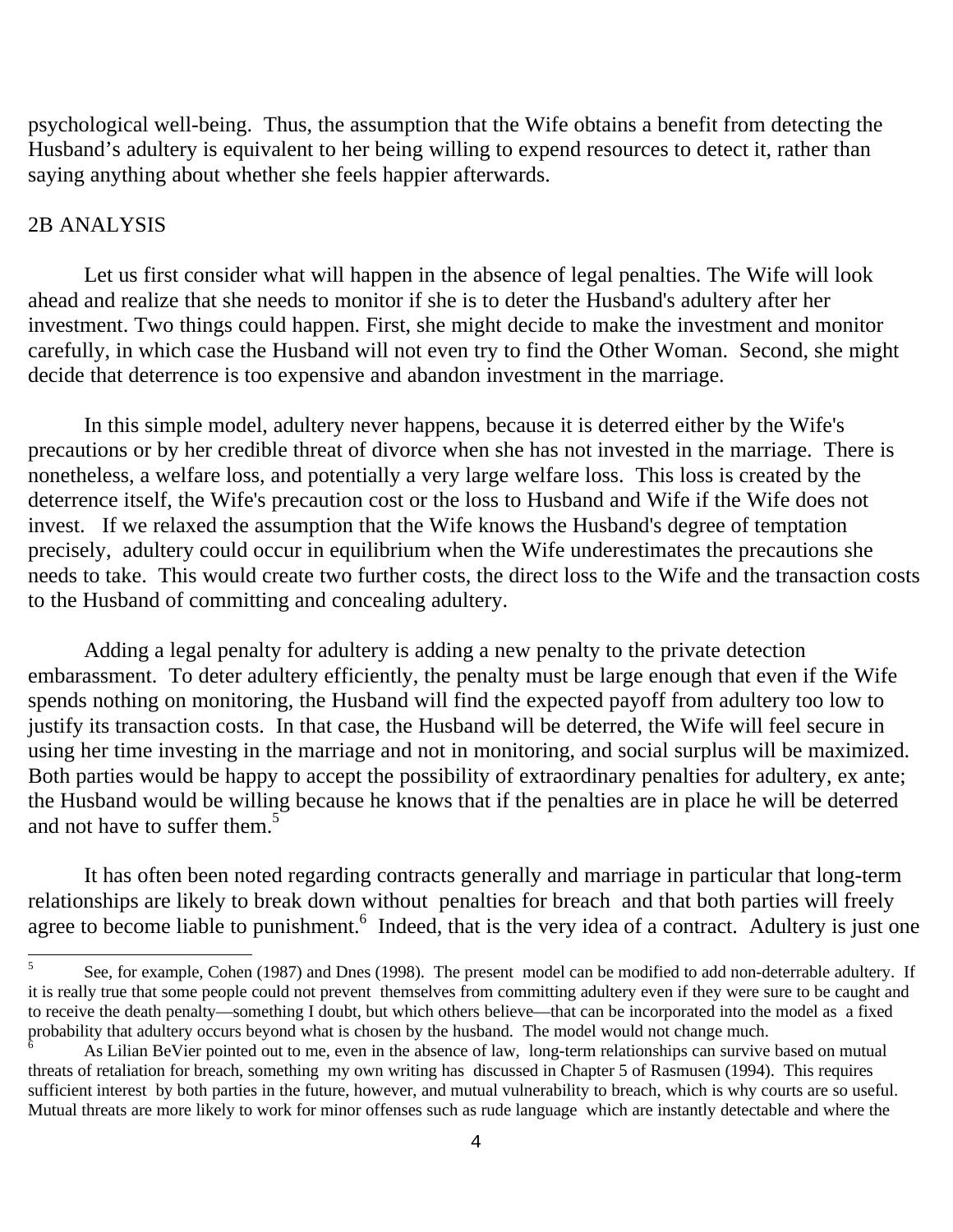psychological well-being. Thus, the assumption that the Wife obtains a benefit from detecting the Husband's adultery is equivalent to her being willing to expend resources to detect it, rather than saying anything about whether she feels happier afterwards.

# 2B ANALYSIS

Let us first consider what will happen in the absence of legal penalties. The Wife will look ahead and realize that she needs to monitor if she is to deter the Husband's adultery after her investment. Two things could happen. First, she might decide to make the investment and monitor carefully, in which case the Husband will not even try to find the Other Woman. Second, she might decide that deterrence is too expensive and abandon investment in the marriage.

In this simple model, adultery never happens, because it is deterred either by the Wife's precautions or by her credible threat of divorce when she has not invested in the marriage. There is nonetheless, a welfare loss, and potentially a very large welfare loss. This loss is created by the deterrence itself, the Wife's precaution cost or the loss to Husband and Wife if the Wife does not invest. If we relaxed the assumption that the Wife knows the Husband's degree of temptation precisely, adultery could occur in equilibrium when the Wife underestimates the precautions she needs to take. This would create two further costs, the direct loss to the Wife and the transaction costs to the Husband of committing and concealing adultery.

Adding a legal penalty for adultery is adding a new penalty to the private detection embarassment. To deter adultery efficiently, the penalty must be large enough that even if the Wife spends nothing on monitoring, the Husband will find the expected payoff from adultery too low to justify its transaction costs. In that case, the Husband will be deterred, the Wife will feel secure in using her time investing in the marriage and not in monitoring, and social surplus will be maximized. Both parties would be happy to accept the possibility of extraordinary penalties for adultery, ex ante; the Husband would be willing because he knows that if the penalties are in place he will be deterred and not have to suffer them.<sup>5</sup>

It has often been noted regarding contracts generally and marriage in particular that long-term relationships are likely to break down without penalties for breach and that both parties will freely agree to become liable to punishment.<sup>6</sup> Indeed, that is the very idea of a contract. Adultery is just one

 5 See, for example, Cohen (1987) and Dnes (1998). The present model can be modified to add non-deterrable adultery. If it is really true that some people could not prevent themselves from committing adultery even if they were sure to be caught and to receive the death penalty—something I doubt, but which others believe—that can be incorporated into the model as a fixed probability that adultery occurs beyond what is chosen by the husband. The model would not change much.

<sup>6</sup> As Lilian BeVier pointed out to me, even in the absence of law, long-term relationships can survive based on mutual threats of retaliation for breach, something my own writing has discussed in Chapter 5 of Rasmusen (1994). This requires sufficient interest by both parties in the future, however, and mutual vulnerability to breach, which is why courts are so useful. Mutual threats are more likely to work for minor offenses such as rude language which are instantly detectable and where the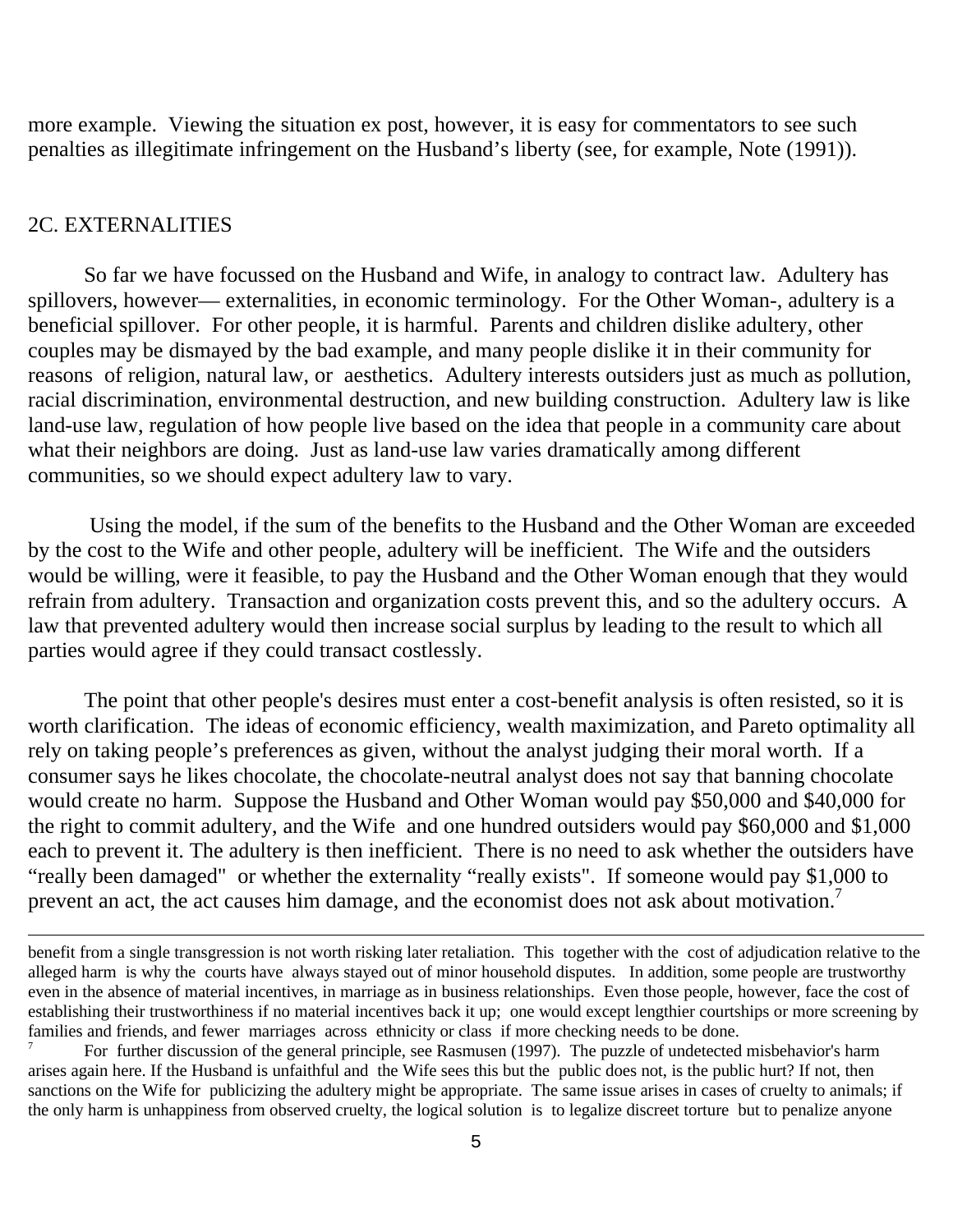more example. Viewing the situation ex post, however, it is easy for commentators to see such penalties as illegitimate infringement on the Husband's liberty (see, for example, Note (1991)).

## 2C. EXTERNALITIES

 $\overline{a}$ 

So far we have focussed on the Husband and Wife, in analogy to contract law. Adultery has spillovers, however— externalities, in economic terminology. For the Other Woman-, adultery is a beneficial spillover. For other people, it is harmful. Parents and children dislike adultery, other couples may be dismayed by the bad example, and many people dislike it in their community for reasons of religion, natural law, or aesthetics. Adultery interests outsiders just as much as pollution, racial discrimination, environmental destruction, and new building construction. Adultery law is like land-use law, regulation of how people live based on the idea that people in a community care about what their neighbors are doing. Just as land-use law varies dramatically among different communities, so we should expect adultery law to vary.

 Using the model, if the sum of the benefits to the Husband and the Other Woman are exceeded by the cost to the Wife and other people, adultery will be inefficient. The Wife and the outsiders would be willing, were it feasible, to pay the Husband and the Other Woman enough that they would refrain from adultery. Transaction and organization costs prevent this, and so the adultery occurs. A law that prevented adultery would then increase social surplus by leading to the result to which all parties would agree if they could transact costlessly.

The point that other people's desires must enter a cost-benefit analysis is often resisted, so it is worth clarification. The ideas of economic efficiency, wealth maximization, and Pareto optimality all rely on taking people's preferences as given, without the analyst judging their moral worth. If a consumer says he likes chocolate, the chocolate-neutral analyst does not say that banning chocolate would create no harm. Suppose the Husband and Other Woman would pay \$50,000 and \$40,000 for the right to commit adultery, and the Wife and one hundred outsiders would pay \$60,000 and \$1,000 each to prevent it. The adultery is then inefficient. There is no need to ask whether the outsiders have "really been damaged" or whether the externality "really exists". If someone would pay \$1,000 to prevent an act, the act causes him damage, and the economist does not ask about motivation.<sup>7</sup>

benefit from a single transgression is not worth risking later retaliation. This together with the cost of adjudication relative to the alleged harm is why the courts have always stayed out of minor household disputes. In addition, some people are trustworthy even in the absence of material incentives, in marriage as in business relationships. Even those people, however, face the cost of establishing their trustworthiness if no material incentives back it up; one would except lengthier courtships or more screening by families and friends, and fewer marriages across ethnicity or class if more checking needs to be done.

For further discussion of the general principle, see Rasmusen (1997). The puzzle of undetected misbehavior's harm arises again here. If the Husband is unfaithful and the Wife sees this but the public does not, is the public hurt? If not, then sanctions on the Wife for publicizing the adultery might be appropriate. The same issue arises in cases of cruelty to animals; if the only harm is unhappiness from observed cruelty, the logical solution is to legalize discreet torture but to penalize anyone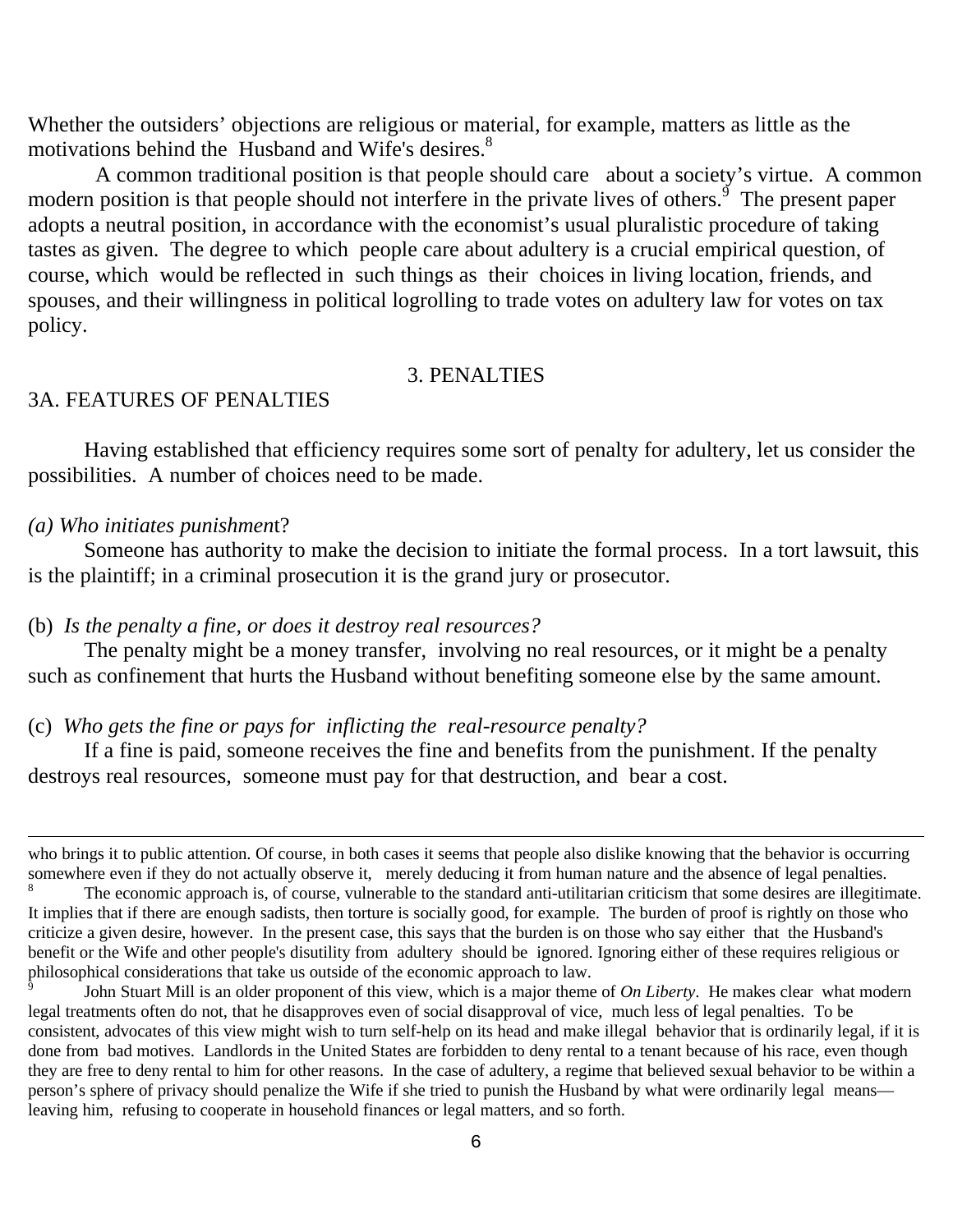Whether the outsiders' objections are religious or material, for example, matters as little as the motivations behind the Husband and Wife's desires.<sup>8</sup>

 A common traditional position is that people should care about a society's virtue. A common modern position is that people should not interfere in the private lives of others.<sup>9</sup> The present paper adopts a neutral position, in accordance with the economist's usual pluralistic procedure of taking tastes as given. The degree to which people care about adultery is a crucial empirical question, of course, which would be reflected in such things as their choices in living location, friends, and spouses, and their willingness in political logrolling to trade votes on adultery law for votes on tax policy.

#### 3. PENALTIES

#### 3A. FEATURES OF PENALTIES

Having established that efficiency requires some sort of penalty for adultery, let us consider the possibilities. A number of choices need to be made.

## *(a) Who initiates punishmen*t?

 $\overline{a}$ 

Someone has authority to make the decision to initiate the formal process. In a tort lawsuit, this is the plaintiff; in a criminal prosecution it is the grand jury or prosecutor.

## (b) *Is the penalty a fine, or does it destroy real resources?*

The penalty might be a money transfer, involving no real resources, or it might be a penalty such as confinement that hurts the Husband without benefiting someone else by the same amount.

## (c) *Who gets the fine or pays for inflicting the real-resource penalty?*

If a fine is paid, someone receives the fine and benefits from the punishment. If the penalty destroys real resources, someone must pay for that destruction, and bear a cost.

who brings it to public attention. Of course, in both cases it seems that people also dislike knowing that the behavior is occurring somewhere even if they do not actually observe it, merely deducing it from human nature and the absence of legal penalties.

The economic approach is, of course, vulnerable to the standard anti-utilitarian criticism that some desires are illegitimate. It implies that if there are enough sadists, then torture is socially good, for example. The burden of proof is rightly on those who criticize a given desire, however. In the present case, this says that the burden is on those who say either that the Husband's benefit or the Wife and other people's disutility from adultery should be ignored. Ignoring either of these requires religious or philosophical considerations that take us outside of the economic approach to law.

<sup>9</sup> John Stuart Mill is an older proponent of this view, which is a major theme of *On Liberty*. He makes clear what modern legal treatments often do not, that he disapproves even of social disapproval of vice, much less of legal penalties. To be consistent, advocates of this view might wish to turn self-help on its head and make illegal behavior that is ordinarily legal, if it is done from bad motives. Landlords in the United States are forbidden to deny rental to a tenant because of his race, even though they are free to deny rental to him for other reasons. In the case of adultery, a regime that believed sexual behavior to be within a person's sphere of privacy should penalize the Wife if she tried to punish the Husband by what were ordinarily legal means leaving him, refusing to cooperate in household finances or legal matters, and so forth.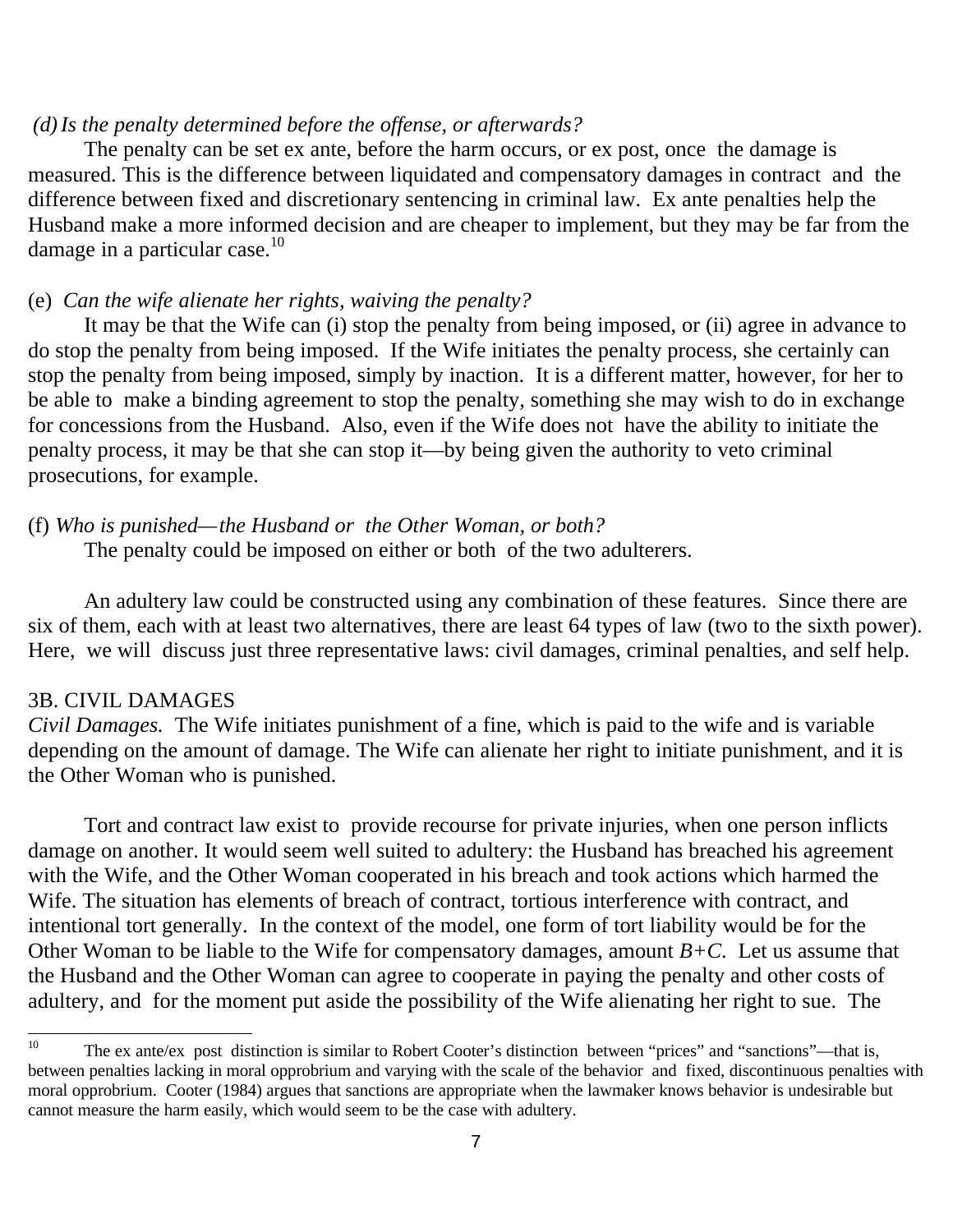#### *(d)Is the penalty determined before the offense, or afterwards?*

The penalty can be set ex ante, before the harm occurs, or ex post, once the damage is measured. This is the difference between liquidated and compensatory damages in contract and the difference between fixed and discretionary sentencing in criminal law. Ex ante penalties help the Husband make a more informed decision and are cheaper to implement, but they may be far from the damage in a particular case.<sup>10</sup>

#### (e) *Can the wife alienate her rights, waiving the penalty?*

It may be that the Wife can (i) stop the penalty from being imposed, or (ii) agree in advance to do stop the penalty from being imposed. If the Wife initiates the penalty process, she certainly can stop the penalty from being imposed, simply by inaction. It is a different matter, however, for her to be able to make a binding agreement to stop the penalty, something she may wish to do in exchange for concessions from the Husband. Also, even if the Wife does not have the ability to initiate the penalty process, it may be that she can stop it—by being given the authority to veto criminal prosecutions, for example.

# (f) *Who is punished—the Husband or the Other Woman, or both?*

The penalty could be imposed on either or both of the two adulterers.

An adultery law could be constructed using any combination of these features. Since there are six of them, each with at least two alternatives, there are least 64 types of law (two to the sixth power). Here, we will discuss just three representative laws: civil damages, criminal penalties, and self help.

## 3B. CIVIL DAMAGES

*Civil Damages.* The Wife initiates punishment of a fine, which is paid to the wife and is variable depending on the amount of damage. The Wife can alienate her right to initiate punishment, and it is the Other Woman who is punished.

Tort and contract law exist to provide recourse for private injuries, when one person inflicts damage on another. It would seem well suited to adultery: the Husband has breached his agreement with the Wife, and the Other Woman cooperated in his breach and took actions which harmed the Wife. The situation has elements of breach of contract, tortious interference with contract, and intentional tort generally. In the context of the model, one form of tort liability would be for the Other Woman to be liable to the Wife for compensatory damages, amount *B+C*. Let us assume that the Husband and the Other Woman can agree to cooperate in paying the penalty and other costs of adultery, and for the moment put aside the possibility of the Wife alienating her right to sue.The

 $10\,$ The ex ante/ex post distinction is similar to Robert Cooter's distinction between "prices" and "sanctions"—that is, between penalties lacking in moral opprobrium and varying with the scale of the behavior and fixed, discontinuous penalties with moral opprobrium. Cooter (1984) argues that sanctions are appropriate when the lawmaker knows behavior is undesirable but cannot measure the harm easily, which would seem to be the case with adultery.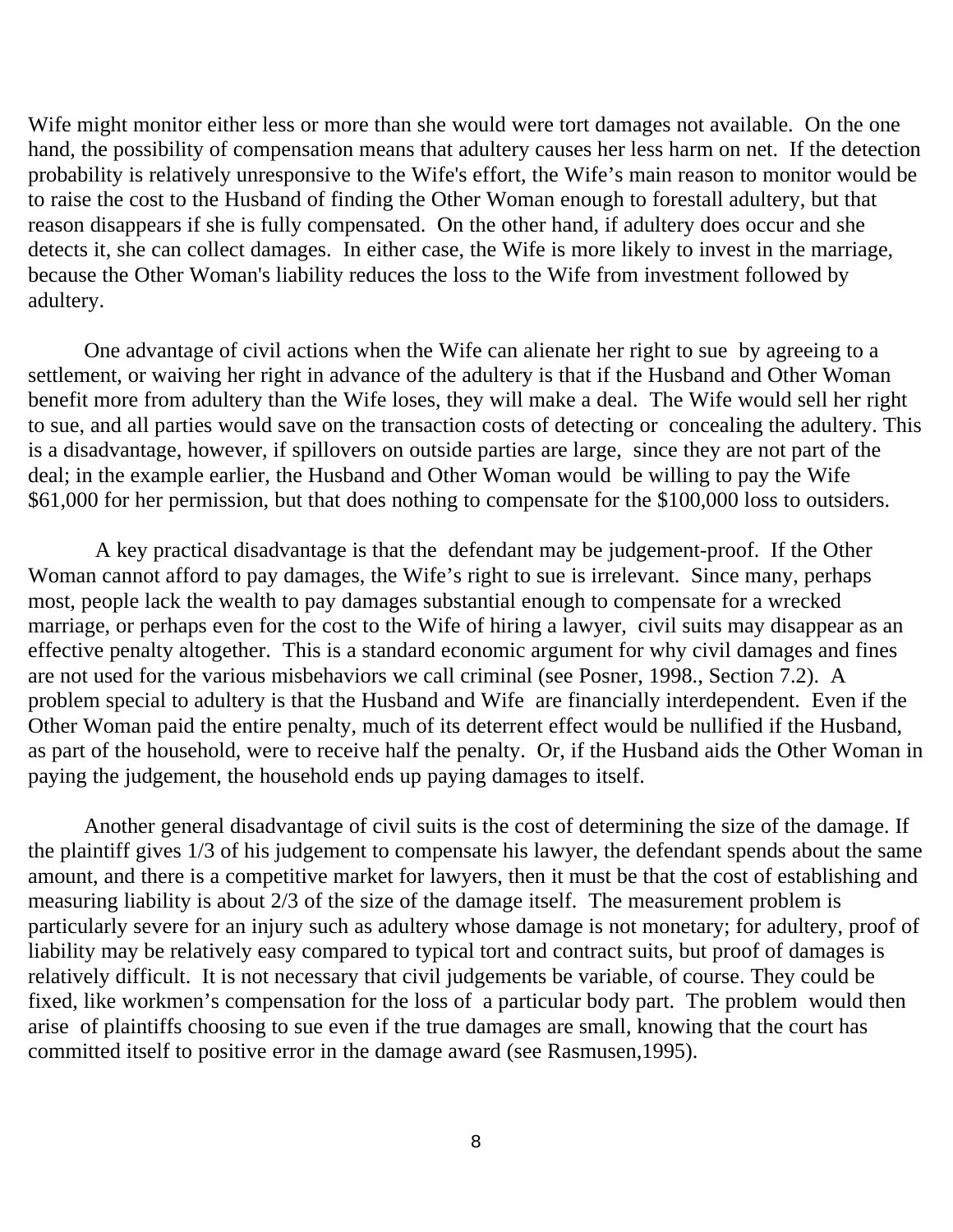Wife might monitor either less or more than she would were tort damages not available. On the one hand, the possibility of compensation means that adultery causes her less harm on net. If the detection probability is relatively unresponsive to the Wife's effort*,* the Wife's main reason to monitor would be to raise the cost to the Husband of finding the Other Woman enough to forestall adultery, but that reason disappears if she is fully compensated. On the other hand, if adultery does occur and she detects it, she can collect damages. In either case, the Wife is more likely to invest in the marriage, because the Other Woman's liability reduces the loss to the Wife from investment followed by adultery.

One advantage of civil actions when the Wife can alienate her right to sue by agreeing to a settlement, or waiving her right in advance of the adultery is that if the Husband and Other Woman benefit more from adultery than the Wife loses, they will make a deal. The Wife would sell her right to sue, and all parties would save on the transaction costs of detecting or concealing the adultery. This is a disadvantage, however, if spillovers on outside parties are large, since they are not part of the deal; in the example earlier, the Husband and Other Woman would be willing to pay the Wife \$61,000 for her permission, but that does nothing to compensate for the \$100,000 loss to outsiders.

 A key practical disadvantage is that the defendant may be judgement-proof. If the Other Woman cannot afford to pay damages, the Wife's right to sue is irrelevant. Since many, perhaps most, people lack the wealth to pay damages substantial enough to compensate for a wrecked marriage, or perhaps even for the cost to the Wife of hiring a lawyer, civil suits may disappear as an effective penalty altogether. This is a standard economic argument for why civil damages and fines are not used for the various misbehaviors we call criminal (see Posner, 1998., Section 7.2). A problem special to adultery is that the Husband and Wife are financially interdependent. Even if the Other Woman paid the entire penalty, much of its deterrent effect would be nullified if the Husband, as part of the household, were to receive half the penalty. Or, if the Husband aids the Other Woman in paying the judgement, the household ends up paying damages to itself.

Another general disadvantage of civil suits is the cost of determining the size of the damage. If the plaintiff gives 1/3 of his judgement to compensate his lawyer, the defendant spends about the same amount, and there is a competitive market for lawyers, then it must be that the cost of establishing and measuring liability is about 2/3 of the size of the damage itself. The measurement problem is particularly severe for an injury such as adultery whose damage is not monetary; for adultery, proof of liability may be relatively easy compared to typical tort and contract suits, but proof of damages is relatively difficult. It is not necessary that civil judgements be variable, of course. They could be fixed, like workmen's compensation for the loss of a particular body part. The problem would then arise of plaintiffs choosing to sue even if the true damages are small, knowing that the court has committed itself to positive error in the damage award (see Rasmusen,1995).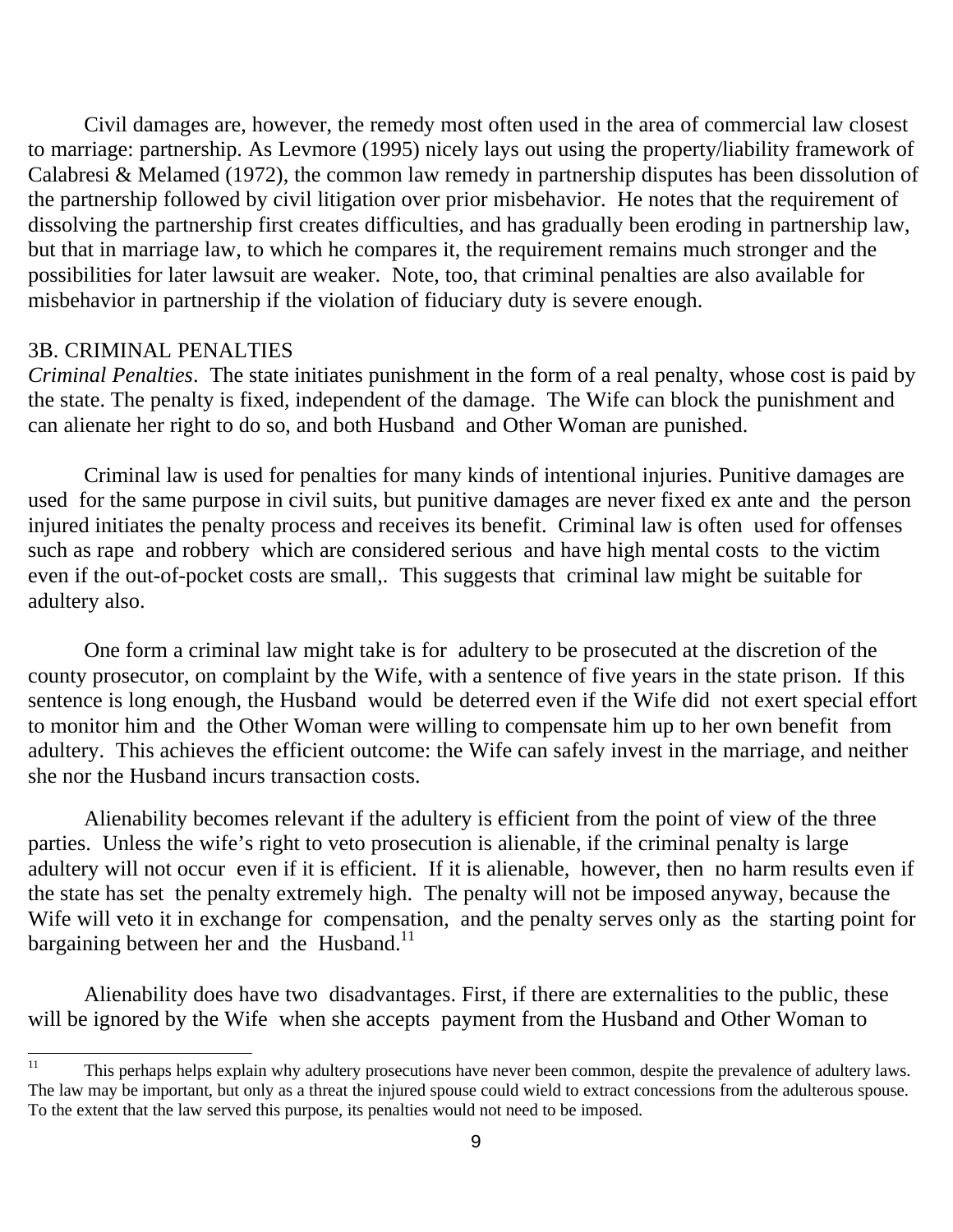Civil damages are, however, the remedy most often used in the area of commercial law closest to marriage: partnership. As Levmore (1995) nicely lays out using the property/liability framework of Calabresi & Melamed (1972), the common law remedy in partnership disputes has been dissolution of the partnership followed by civil litigation over prior misbehavior. He notes that the requirement of dissolving the partnership first creates difficulties, and has gradually been eroding in partnership law, but that in marriage law, to which he compares it, the requirement remains much stronger and the possibilities for later lawsuit are weaker. Note, too, that criminal penalties are also available for misbehavior in partnership if the violation of fiduciary duty is severe enough.

## 3B. CRIMINAL PENALTIES

*Criminal Penalties*. The state initiates punishment in the form of a real penalty, whose cost is paid by the state. The penalty is fixed, independent of the damage. The Wife can block the punishment and can alienate her right to do so, and both Husband and Other Woman are punished.

Criminal law is used for penalties for many kinds of intentional injuries. Punitive damages are used for the same purpose in civil suits, but punitive damages are never fixed ex ante and the person injured initiates the penalty process and receives its benefit. Criminal law is often used for offenses such as rape and robbery which are considered serious and have high mental costs to the victim even if the out-of-pocket costs are small,. This suggests that criminal law might be suitable for adultery also.

One form a criminal law might take is for adultery to be prosecuted at the discretion of the county prosecutor, on complaint by the Wife, with a sentence of five years in the state prison. If this sentence is long enough, the Husband would be deterred even if the Wife did not exert special effort to monitor him and the Other Woman were willing to compensate him up to her own benefit from adultery.This achieves the efficient outcome: the Wife can safely invest in the marriage, and neither she nor the Husband incurs transaction costs.

Alienability becomes relevant if the adultery is efficient from the point of view of the three parties. Unless the wife's right to veto prosecution is alienable, if the criminal penalty is large adultery will not occur even if it is efficient. If it is alienable, however, then no harm results even if the state has set the penalty extremely high. The penalty will not be imposed anyway, because the Wife will veto it in exchange for compensation, and the penalty serves only as the starting point for bargaining between her and the Husband.<sup>11</sup>

Alienability does have two disadvantages. First, if there are externalities to the public, these will be ignored by the Wife when she accepts payment from the Husband and Other Woman to

 $11<sup>1</sup>$ <sup>11</sup> This perhaps helps explain why adultery prosecutions have never been common, despite the prevalence of adultery laws. The law may be important, but only as a threat the injured spouse could wield to extract concessions from the adulterous spouse. To the extent that the law served this purpose, its penalties would not need to be imposed.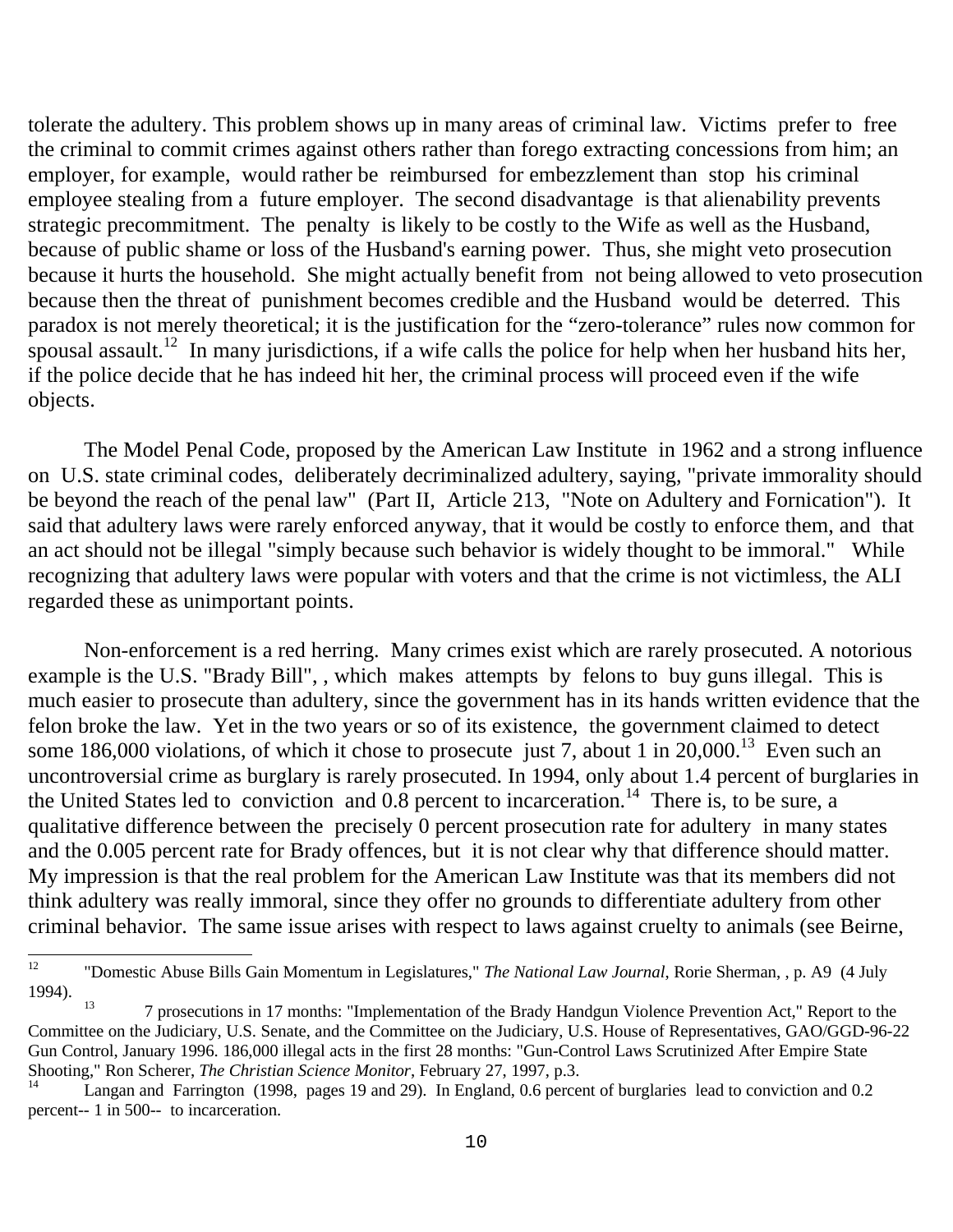tolerate the adultery. This problem shows up in many areas of criminal law. Victims prefer to free the criminal to commit crimes against others rather than forego extracting concessions from him; an employer, for example, would rather be reimbursed for embezzlement than stop his criminal employee stealing from a future employer. The second disadvantage is that alienability prevents strategic precommitment. The penalty is likely to be costly to the Wife as well as the Husband, because of public shame or loss of the Husband's earning power. Thus, she might veto prosecution because it hurts the household. She might actually benefit from not being allowed to veto prosecution because then the threat of punishment becomes credible and the Husband would be deterred. This paradox is not merely theoretical; it is the justification for the "zero-tolerance" rules now common for spousal assault.<sup>12</sup> In many jurisdictions, if a wife calls the police for help when her husband hits her, if the police decide that he has indeed hit her, the criminal process will proceed even if the wife objects.

The Model Penal Code, proposed by the American Law Institute in 1962 and a strong influence on U.S. state criminal codes, deliberately decriminalized adultery, saying, "private immorality should be beyond the reach of the penal law" (Part II, Article 213, "Note on Adultery and Fornication"). It said that adultery laws were rarely enforced anyway, that it would be costly to enforce them, and that an act should not be illegal "simply because such behavior is widely thought to be immoral." While recognizing that adultery laws were popular with voters and that the crime is not victimless, the ALI regarded these as unimportant points.

Non-enforcement is a red herring. Many crimes exist which are rarely prosecuted. A notorious example is the U.S. "Brady Bill", , which makes attempts by felons to buy guns illegal. This is much easier to prosecute than adultery, since the government has in its hands written evidence that the felon broke the law. Yet in the two years or so of its existence, the government claimed to detect some 186,000 violations, of which it chose to prosecute just 7, about 1 in 20,000.<sup>13</sup> Even such an uncontroversial crime as burglary is rarely prosecuted. In 1994, only about 1.4 percent of burglaries in the United States led to conviction and 0.8 percent to incarceration.<sup>14</sup> There is, to be sure, a qualitative difference between the precisely 0 percent prosecution rate for adultery in many states and the 0.005 percent rate for Brady offences, but it is not clear why that difference should matter. My impression is that the real problem for the American Law Institute was that its members did not think adultery was really immoral, since they offer no grounds to differentiate adultery from other criminal behavior. The same issue arises with respect to laws against cruelty to animals (see Beirne,

 $12 \overline{ }$ <sup>12</sup> "Domestic Abuse Bills Gain Momentum in Legislatures," *The National Law Journal*, Rorie Sherman, , p. A9 (4 July 1994).

<sup>&</sup>lt;sup>13</sup> 7 prosecutions in 17 months: "Implementation of the Brady Handgun Violence Prevention Act," Report to the Committee on the Judiciary, U.S. Senate, and the Committee on the Judiciary, U.S. House of Representatives, GAO/GGD-96-22 Gun Control, January 1996. 186,000 illegal acts in the first 28 months: "Gun-Control Laws Scrutinized After Empire State Shooting," Ron Scherer, *The Christian Science Monitor*, February 27, 1997, p.3.

Langan and Farrington (1998, pages 19 and 29). In England, 0.6 percent of burglaries lead to conviction and 0.2 percent-- 1 in 500-- to incarceration.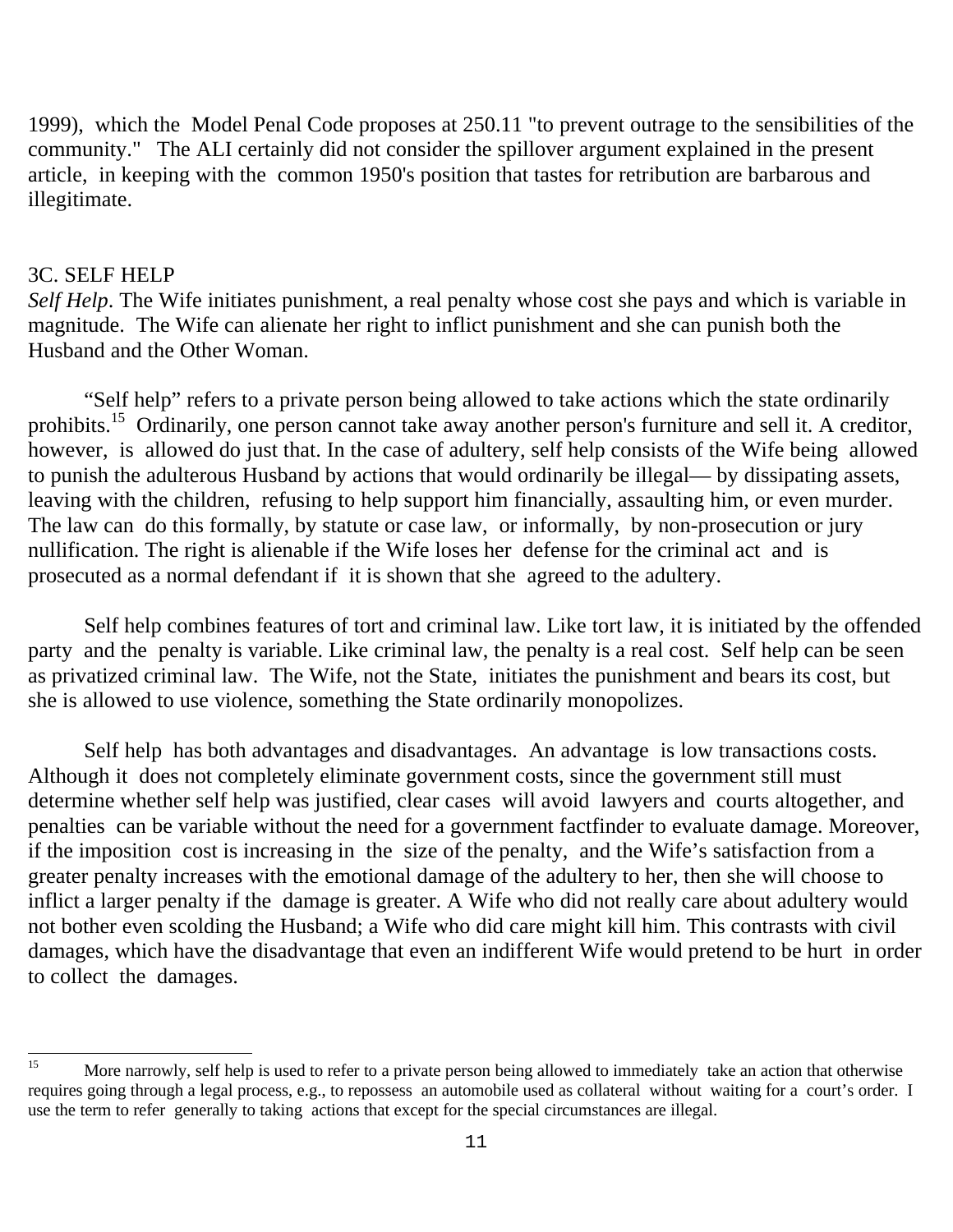1999), which the Model Penal Code proposes at 250.11 "to prevent outrage to the sensibilities of the community." The ALI certainly did not consider the spillover argument explained in the present article, in keeping with the common 1950's position that tastes for retribution are barbarous and illegitimate.

## 3C. SELF HELP

*Self Help*. The Wife initiates punishment, a real penalty whose cost she pays and which is variable in magnitude. The Wife can alienate her right to inflict punishment and she can punish both the Husband and the Other Woman.

"Self help" refers to a private person being allowed to take actions which the state ordinarily prohibits.<sup>15</sup> Ordinarily, one person cannot take away another person's furniture and sell it. A creditor, however, is allowed do just that. In the case of adultery, self help consists of the Wife being allowed to punish the adulterous Husband by actions that would ordinarily be illegal— by dissipating assets, leaving with the children, refusing to help support him financially, assaulting him, or even murder. The law can do this formally, by statute or case law, or informally, by non-prosecution or jury nullification. The right is alienable if the Wife loses her defense for the criminal act and is prosecuted as a normal defendant if it is shown that she agreed to the adultery.

Self help combines features of tort and criminal law. Like tort law, it is initiated by the offended party and the penalty is variable. Like criminal law, the penalty is a real cost. Self help can be seen as privatized criminal law. The Wife, not the State, initiates the punishment and bears its cost, but she is allowed to use violence, something the State ordinarily monopolizes.

 Self help has both advantages and disadvantages. An advantage is low transactions costs. Although it does not completely eliminate government costs, since the government still must determine whether self help was justified, clear cases will avoid lawyers and courts altogether, and penalties can be variable without the need for a government factfinder to evaluate damage. Moreover, if the imposition cost is increasing in the size of the penalty, and the Wife's satisfaction from a greater penalty increases with the emotional damage of the adultery to her, then she will choose to inflict a larger penalty if the damage is greater. A Wife who did not really care about adultery would not bother even scolding the Husband; a Wife who did care might kill him. This contrasts with civil damages, which have the disadvantage that even an indifferent Wife would pretend to be hurt in order to collect the damages.

 $15<sup>15</sup>$ More narrowly, self help is used to refer to a private person being allowed to immediately take an action that otherwise requires going through a legal process, e.g., to repossess an automobile used as collateral without waiting for a court's order. I use the term to refer generally to taking actions that except for the special circumstances are illegal.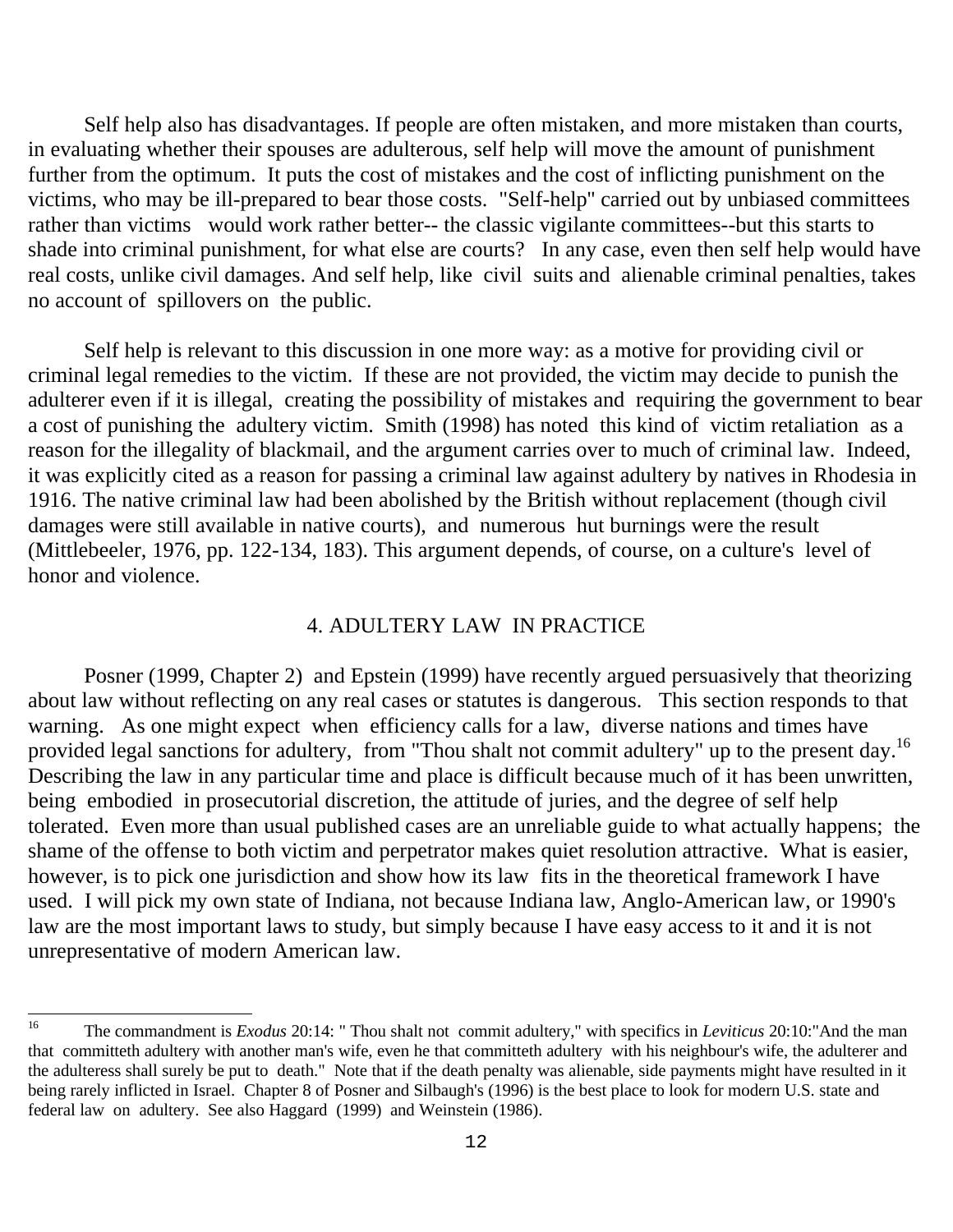Self help also has disadvantages. If people are often mistaken, and more mistaken than courts, in evaluating whether their spouses are adulterous, self help will move the amount of punishment further from the optimum. It puts the cost of mistakes and the cost of inflicting punishment on the victims, who may be ill-prepared to bear those costs. "Self-help'' carried out by unbiased committees rather than victims would work rather better-- the classic vigilante committees--but this starts to shade into criminal punishment, for what else are courts? In any case, even then self help would have real costs, unlike civil damages. And self help, like civil suits and alienable criminal penalties, takes no account of spillovers on the public.

Self help is relevant to this discussion in one more way: as a motive for providing civil or criminal legal remedies to the victim. If these are not provided, the victim may decide to punish the adulterer even if it is illegal, creating the possibility of mistakes and requiring the government to bear a cost of punishing the adultery victim. Smith (1998) has noted this kind of victim retaliation as a reason for the illegality of blackmail, and the argument carries over to much of criminal law. Indeed, it was explicitly cited as a reason for passing a criminal law against adultery by natives in Rhodesia in 1916. The native criminal law had been abolished by the British without replacement (though civil damages were still available in native courts), and numerous hut burnings were the result (Mittlebeeler, 1976, pp. 122-134, 183). This argument depends, of course, on a culture's level of honor and violence.

## 4. ADULTERY LAW IN PRACTICE

Posner (1999, Chapter 2) and Epstein (1999) have recently argued persuasively that theorizing about law without reflecting on any real cases or statutes is dangerous. This section responds to that warning. As one might expect when efficiency calls for a law, diverse nations and times have provided legal sanctions for adultery, from "Thou shalt not commit adultery" up to the present day.<sup>16</sup> Describing the law in any particular time and place is difficult because much of it has been unwritten, being embodied in prosecutorial discretion, the attitude of juries, and the degree of self help tolerated. Even more than usual published cases are an unreliable guide to what actually happens; the shame of the offense to both victim and perpetrator makes quiet resolution attractive. What is easier, however, is to pick one jurisdiction and show how its law fits in the theoretical framework I have used. I will pick my own state of Indiana, not because Indiana law, Anglo-American law, or 1990's law are the most important laws to study, but simply because I have easy access to it and it is not unrepresentative of modern American law.

 16 The commandment is *Exodus* 20:14: " Thou shalt not commit adultery," with specifics in *Leviticus* 20:10:"And the man that committeth adultery with another man's wife, even he that committeth adultery with his neighbour's wife, the adulterer and the adulteress shall surely be put to death." Note that if the death penalty was alienable, side payments might have resulted in it being rarely inflicted in Israel. Chapter 8 of Posner and Silbaugh's (1996) is the best place to look for modern U.S. state and federal law on adultery. See also Haggard (1999) and Weinstein (1986).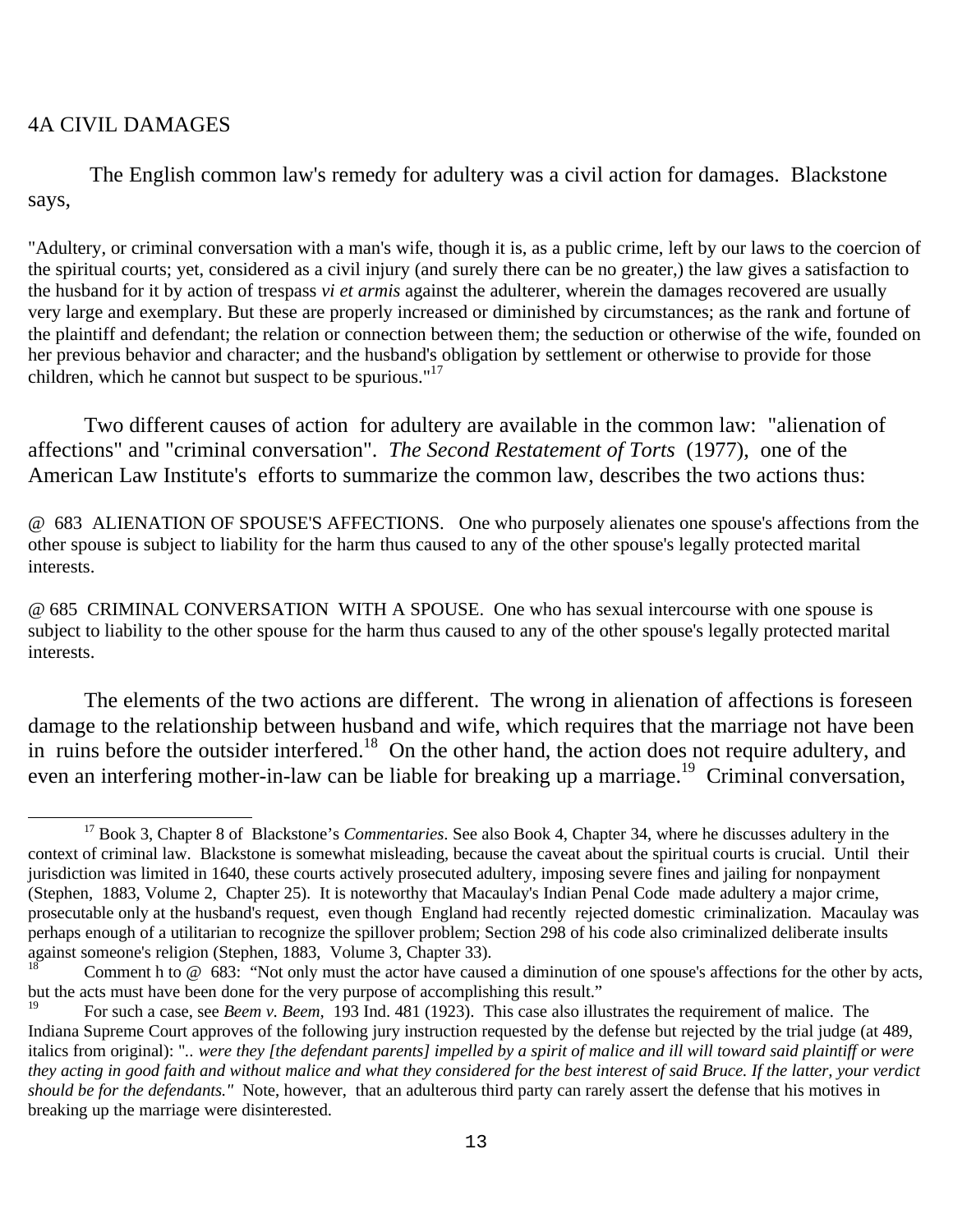# 4A CIVIL DAMAGES

 The English common law's remedy for adultery was a civil action for damages. Blackstone says,

"Adultery, or criminal conversation with a man's wife, though it is, as a public crime, left by our laws to the coercion of the spiritual courts; yet, considered as a civil injury (and surely there can be no greater,) the law gives a satisfaction to the husband for it by action of trespass *vi et armis* against the adulterer, wherein the damages recovered are usually very large and exemplary. But these are properly increased or diminished by circumstances; as the rank and fortune of the plaintiff and defendant; the relation or connection between them; the seduction or otherwise of the wife, founded on her previous behavior and character; and the husband's obligation by settlement or otherwise to provide for those children, which he cannot but suspect to be spurious." $17$ 

Two different causes of action for adultery are available in the common law: "alienation of affections" and "criminal conversation". *The Second Restatement of Torts* (1977), one of the American Law Institute's efforts to summarize the common law, describes the two actions thus:

@ 683 ALIENATION OF SPOUSE'S AFFECTIONS. One who purposely alienates one spouse's affections from the other spouse is subject to liability for the harm thus caused to any of the other spouse's legally protected marital interests.

@ 685 CRIMINAL CONVERSATION WITH A SPOUSE. One who has sexual intercourse with one spouse is subject to liability to the other spouse for the harm thus caused to any of the other spouse's legally protected marital interests.

The elements of the two actions are different. The wrong in alienation of affections is foreseen damage to the relationship between husband and wife, which requires that the marriage not have been in ruins before the outsider interfered.<sup>18</sup> On the other hand, the action does not require adultery, and even an interfering mother-in-law can be liable for breaking up a marriage.<sup>19</sup> Criminal conversation,

 $\overline{a}$ <sup>17</sup> Book 3, Chapter 8 of Blackstone's *Commentaries*. See also Book 4, Chapter 34, where he discusses adultery in the context of criminal law. Blackstone is somewhat misleading, because the caveat about the spiritual courts is crucial. Until their jurisdiction was limited in 1640, these courts actively prosecuted adultery, imposing severe fines and jailing for nonpayment (Stephen, 1883, Volume 2, Chapter 25). It is noteworthy that Macaulay's Indian Penal Code made adultery a major crime, prosecutable only at the husband's request, even though England had recently rejected domestic criminalization. Macaulay was perhaps enough of a utilitarian to recognize the spillover problem; Section 298 of his code also criminalized deliberate insults against someone's religion (Stephen, 1883, Volume 3, Chapter 33).

Comment h to  $\omega$  683: "Not only must the actor have caused a diminution of one spouse's affections for the other by acts, but the acts must have been done for the very purpose of accomplishing this result."

<sup>19</sup> For such a case, see *Beem v. Beem,* 193 Ind. 481 (1923). This case also illustrates the requirement of malice. The Indiana Supreme Court approves of the following jury instruction requested by the defense but rejected by the trial judge (at 489, italics from original): "*.. were they [the defendant parents] impelled by a spirit of malice and ill will toward said plaintiff or were they acting in good faith and without malice and what they considered for the best interest of said Bruce. If the latter, your verdict should be for the defendants."* Note, however, that an adulterous third party can rarely assert the defense that his motives in breaking up the marriage were disinterested.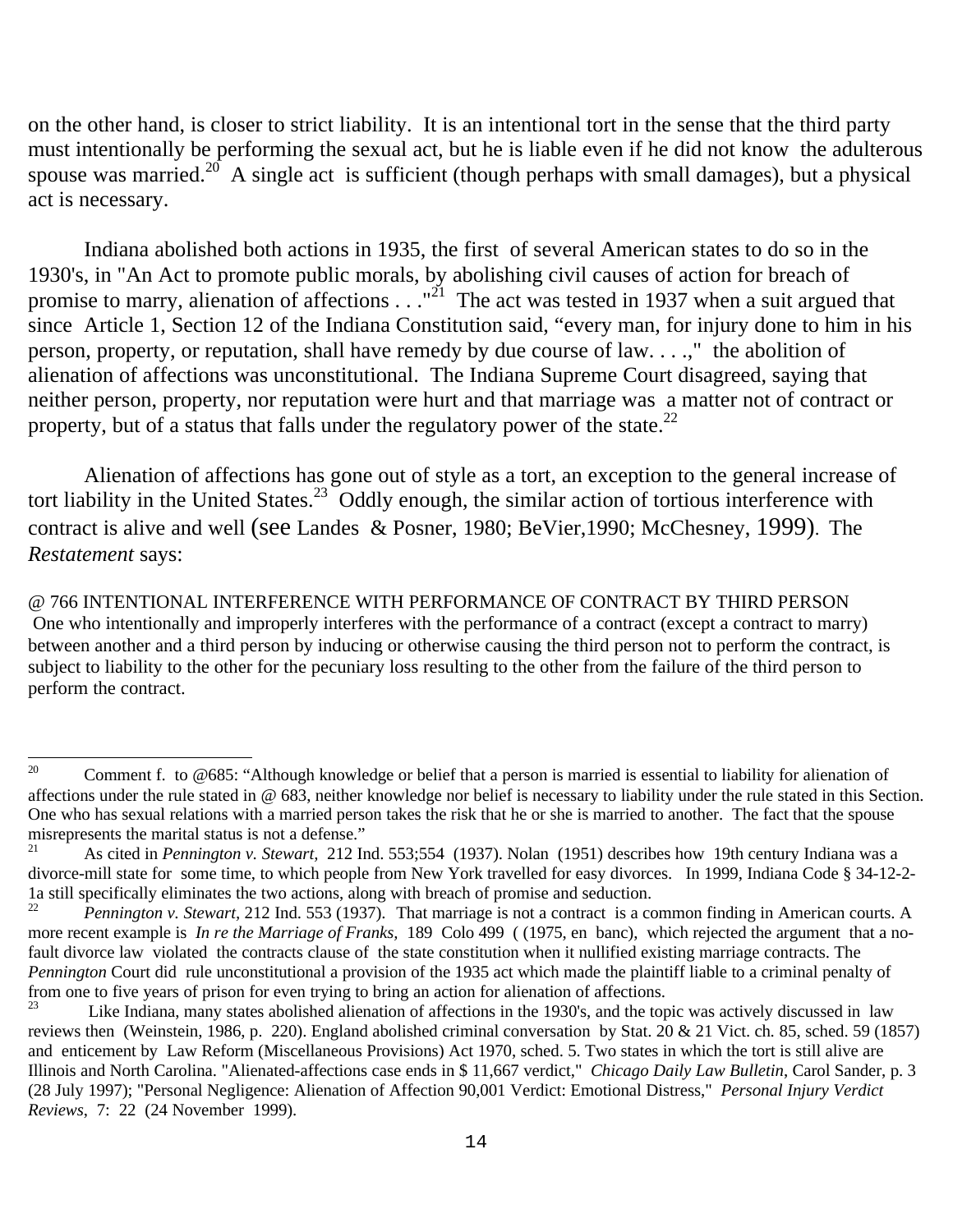on the other hand, is closer to strict liability. It is an intentional tort in the sense that the third party must intentionally be performing the sexual act, but he is liable even if he did not know the adulterous spouse was married.<sup>20</sup> A single act is sufficient (though perhaps with small damages), but a physical act is necessary.

Indiana abolished both actions in 1935, the first of several American states to do so in the 1930's, in "An Act to promote public morals, by abolishing civil causes of action for breach of promise to marry, alienation of affections  $\dots$ <sup>21</sup> The act was tested in 1937 when a suit argued that since Article 1, Section 12 of the Indiana Constitution said, "every man, for injury done to him in his person, property, or reputation, shall have remedy by due course of law. . . .," the abolition of alienation of affections was unconstitutional. The Indiana Supreme Court disagreed, saying that neither person, property, nor reputation were hurt and that marriage was a matter not of contract or property, but of a status that falls under the regulatory power of the state.<sup>22</sup>

Alienation of affections has gone out of style as a tort, an exception to the general increase of tort liability in the United States.<sup>23</sup> Oddly enough, the similar action of tortious interference with contract is alive and well (see Landes & Posner, 1980; BeVier,1990; McChesney, 1999). The *Restatement* says:

@ 766 INTENTIONAL INTERFERENCE WITH PERFORMANCE OF CONTRACT BY THIRD PERSON One who intentionally and improperly interferes with the performance of a contract (except a contract to marry) between another and a third person by inducing or otherwise causing the third person not to perform the contract, is subject to liability to the other for the pecuniary loss resulting to the other from the failure of the third person to perform the contract.

<sup>20</sup> <sup>20</sup> Comment f. to @685: "Although knowledge or belief that a person is married is essential to liability for alienation of affections under the rule stated in @ 683, neither knowledge nor belief is necessary to liability under the rule stated in this Section. One who has sexual relations with a married person takes the risk that he or she is married to another. The fact that the spouse misrepresents the marital status is not a defense."

<sup>21</sup> As cited in *Pennington v. Stewart,* 212 Ind. 553;554 (1937). Nolan (1951) describes how 19th century Indiana was a divorce-mill state for some time, to which people from New York travelled for easy divorces. In 1999, Indiana Code § 34-12-2- 1a still specifically eliminates the two actions, along with breach of promise and seduction.

<sup>22</sup> *Pennington v. Stewart,* 212 Ind. 553 (1937). That marriage is not a contract is a common finding in American courts. A more recent example is *In re the Marriage of Franks,* 189 Colo 499 ( (1975, en banc), which rejected the argument that a nofault divorce law violated the contracts clause of the state constitution when it nullified existing marriage contracts. The *Pennington* Court did rule unconstitutional a provision of the 1935 act which made the plaintiff liable to a criminal penalty of from one to five years of prison for even trying to bring an action for alienation of affections.<br><sup>23</sup>

Like Indiana, many states abolished alienation of affections in the 1930's, and the topic was actively discussed in law reviews then (Weinstein, 1986, p. 220). England abolished criminal conversation by Stat. 20 & 21 Vict. ch. 85, sched. 59 (1857) and enticement by Law Reform (Miscellaneous Provisions) Act 1970, sched. 5. Two states in which the tort is still alive are Illinois and North Carolina. "Alienated-affections case ends in \$ 11,667 verdict," *Chicago Daily Law Bulletin*, Carol Sander, p. 3 (28 July 1997); "Personal Negligence: Alienation of Affection 90,001 Verdict: Emotional Distress," *Personal Injury Verdict Reviews*, 7: 22 (24 November 1999).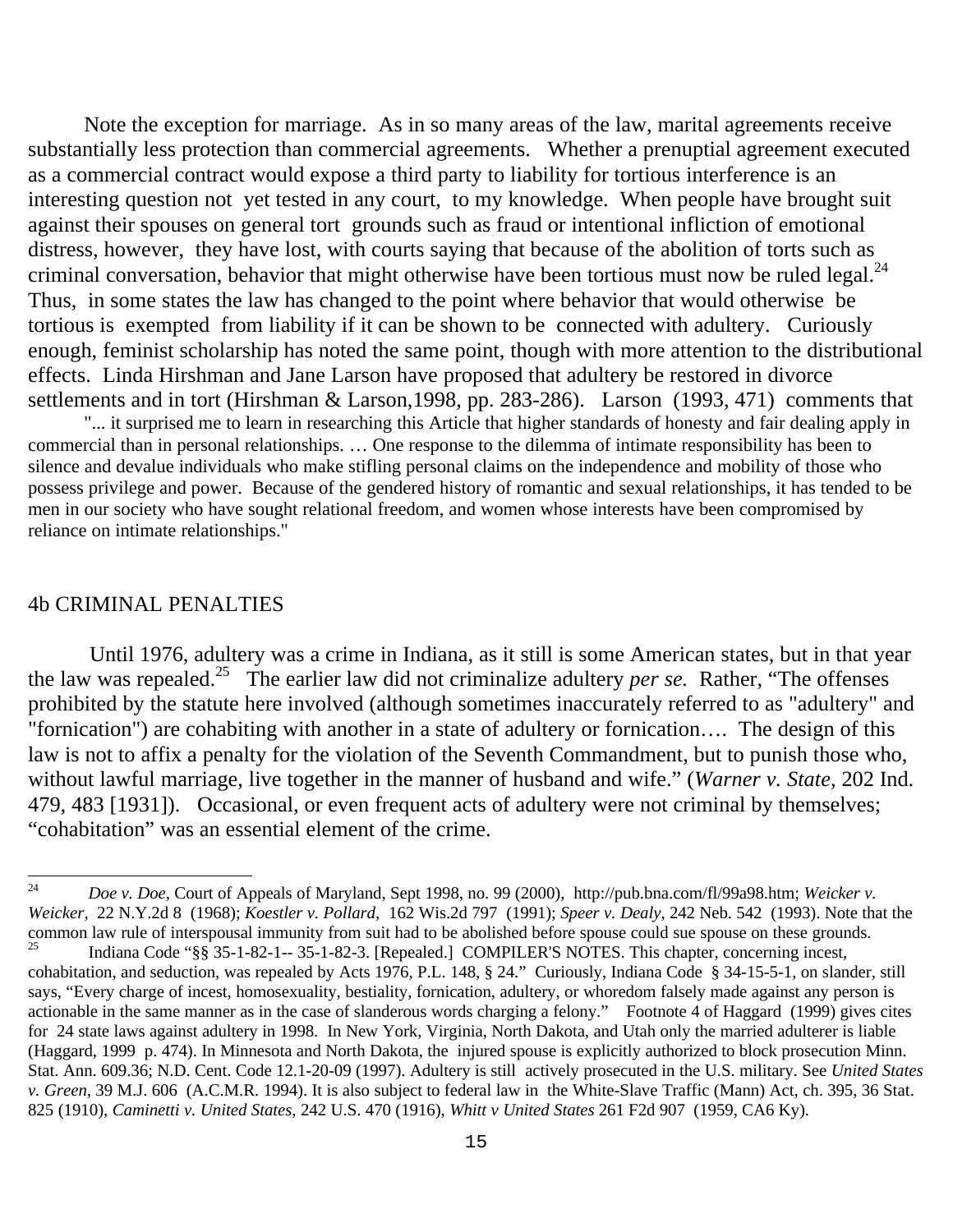Note the exception for marriage. As in so many areas of the law, marital agreements receive substantially less protection than commercial agreements. Whether a prenuptial agreement executed as a commercial contract would expose a third party to liability for tortious interference is an interesting question not yet tested in any court, to my knowledge. When people have brought suit against their spouses on general tort grounds such as fraud or intentional infliction of emotional distress, however, they have lost, with courts saying that because of the abolition of torts such as criminal conversation, behavior that might otherwise have been tortious must now be ruled legal.<sup>24</sup> Thus, in some states the law has changed to the point where behavior that would otherwise be tortious is exempted from liability if it can be shown to be connected with adultery. Curiously enough, feminist scholarship has noted the same point, though with more attention to the distributional effects. Linda Hirshman and Jane Larson have proposed that adultery be restored in divorce settlements and in tort (Hirshman & Larson,1998, pp. 283-286). Larson (1993, 471) comments that

"... it surprised me to learn in researching this Article that higher standards of honesty and fair dealing apply in commercial than in personal relationships. … One response to the dilemma of intimate responsibility has been to silence and devalue individuals who make stifling personal claims on the independence and mobility of those who possess privilege and power. Because of the gendered history of romantic and sexual relationships, it has tended to be men in our society who have sought relational freedom, and women whose interests have been compromised by reliance on intimate relationships."

#### 4b CRIMINAL PENALTIES

 Until 1976, adultery was a crime in Indiana, as it still is some American states, but in that year the law was repealed.<sup>25</sup> The earlier law did not criminalize adultery *per se*. Rather, "The offenses" prohibited by the statute here involved (although sometimes inaccurately referred to as "adultery" and "fornication") are cohabiting with another in a state of adultery or fornication…. The design of this law is not to affix a penalty for the violation of the Seventh Commandment, but to punish those who, without lawful marriage, live together in the manner of husband and wife." (*Warner v. State,* 202 Ind. 479, 483 [1931]). Occasional, or even frequent acts of adultery were not criminal by themselves; "cohabitation" was an essential element of the crime.

 $24$ <sup>24</sup> *Doe v. Doe*, Court of Appeals of Maryland, Sept 1998, no. 99 (2000), http://pub.bna.com/fl/99a98.htm; *Weicker v. Weicker,* 22 N.Y.2d 8 (1968); *Koestler v. Pollard,* 162 Wis.2d 797 (1991); *Speer v. Dealy*, 242 Neb. 542 (1993). Note that the common law rule of interspousal immunity from suit had to be abolished before spouse could sue spouse on these grounds. Indiana Code "§§ 35-1-82-1-- 35-1-82-3. [Repealed.] COMPILER'S NOTES. This chapter, concerning incest,

cohabitation, and seduction, was repealed by Acts 1976, P.L. 148, § 24." Curiously, Indiana Code § 34-15-5-1, on slander, still says, "Every charge of incest, homosexuality, bestiality, fornication, adultery, or whoredom falsely made against any person is actionable in the same manner as in the case of slanderous words charging a felony." Footnote 4 of Haggard (1999) gives cites for 24 state laws against adultery in 1998. In New York, Virginia, North Dakota, and Utah only the married adulterer is liable (Haggard, 1999 p. 474). In Minnesota and North Dakota, the injured spouse is explicitly authorized to block prosecution Minn. Stat. Ann. 609.36; N.D. Cent. Code 12.1-20-09 (1997). Adultery is still actively prosecuted in the U.S. military. See *United States v. Green*, 39 M.J. 606 (A.C.M.R. 1994). It is also subject to federal law in the White-Slave Traffic (Mann) Act, ch. 395, 36 Stat. 825 (1910), *Caminetti v. United States*, 242 U.S. 470 (1916), *Whitt v United States* 261 F2d 907 (1959, CA6 Ky).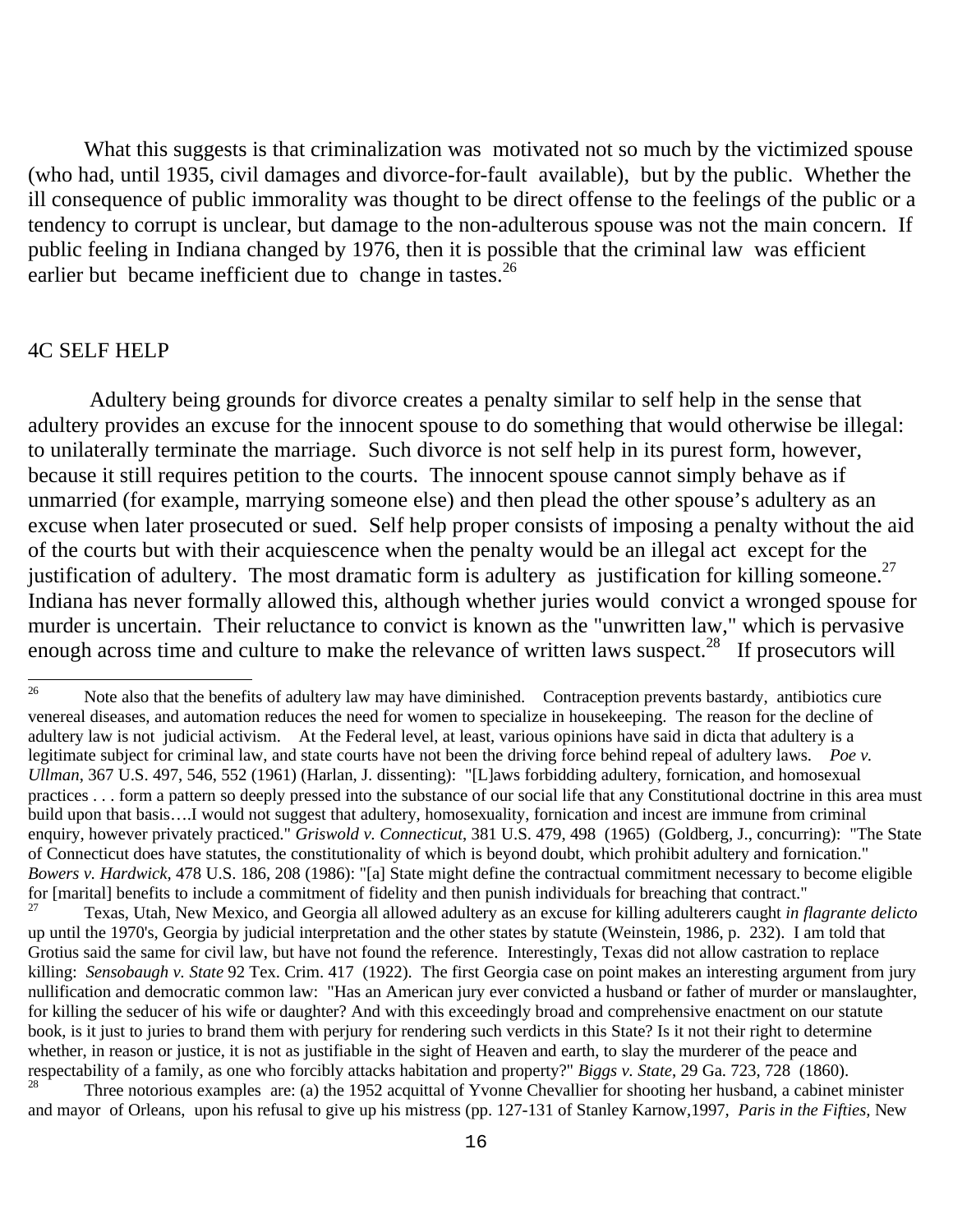What this suggests is that criminalization was motivated not so much by the victimized spouse (who had, until 1935, civil damages and divorce-for-fault available), but by the public. Whether the ill consequence of public immorality was thought to be direct offense to the feelings of the public or a tendency to corrupt is unclear, but damage to the non-adulterous spouse was not the main concern. If public feeling in Indiana changed by 1976, then it is possible that the criminal law was efficient earlier but became inefficient due to change in tastes.<sup>26</sup>

#### 4C SELF HELP

 Adultery being grounds for divorce creates a penalty similar to self help in the sense that adultery provides an excuse for the innocent spouse to do something that would otherwise be illegal: to unilaterally terminate the marriage. Such divorce is not self help in its purest form, however, because it still requires petition to the courts. The innocent spouse cannot simply behave as if unmarried (for example, marrying someone else) and then plead the other spouse's adultery as an excuse when later prosecuted or sued. Self help proper consists of imposing a penalty without the aid of the courts but with their acquiescence when the penalty would be an illegal act except for the justification of adultery. The most dramatic form is adultery as justification for killing someone.<sup>27</sup> Indiana has never formally allowed this, although whether juries would convict a wronged spouse for murder is uncertain. Their reluctance to convict is known as the "unwritten law," which is pervasive enough across time and culture to make the relevance of written laws suspect.<sup>28</sup> If prosecutors will

<sup>27</sup> Texas, Utah, New Mexico, and Georgia all allowed adultery as an excuse for killing adulterers caught *in flagrante delicto* up until the 1970's, Georgia by judicial interpretation and the other states by statute (Weinstein, 1986, p. 232). I am told that Grotius said the same for civil law, but have not found the reference. Interestingly, Texas did not allow castration to replace killing: *Sensobaugh v. State* 92 Tex. Crim. 417 (1922). The first Georgia case on point makes an interesting argument from jury nullification and democratic common law: "Has an American jury ever convicted a husband or father of murder or manslaughter, for killing the seducer of his wife or daughter? And with this exceedingly broad and comprehensive enactment on our statute book, is it just to juries to brand them with perjury for rendering such verdicts in this State? Is it not their right to determine whether, in reason or justice, it is not as justifiable in the sight of Heaven and earth, to slay the murderer of the peace and respectability of a family, as one who forcibly attacks habitation and property?" *Biggs v. State*, 29 Ga. 723, 728 (1860).

Three notorious examples are: (a) the 1952 acquittal of Yvonne Chevallier for shooting her husband, a cabinet minister and mayor of Orleans, upon his refusal to give up his mistress (pp. 127-131 of Stanley Karnow,1997*, Paris in the Fifties,* New

 26 Note also that the benefits of adultery law may have diminished. Contraception prevents bastardy, antibiotics cure venereal diseases, and automation reduces the need for women to specialize in housekeeping. The reason for the decline of adultery law is not judicial activism. At the Federal level, at least, various opinions have said in dicta that adultery is a legitimate subject for criminal law, and state courts have not been the driving force behind repeal of adultery laws. *Poe v. Ullman*, 367 U.S. 497, 546, 552 (1961) (Harlan, J. dissenting): "[L]aws forbidding adultery, fornication, and homosexual practices . . . form a pattern so deeply pressed into the substance of our social life that any Constitutional doctrine in this area must build upon that basis….I would not suggest that adultery, homosexuality, fornication and incest are immune from criminal enquiry, however privately practiced." *Griswold v. Connecticut*, 381 U.S. 479, 498 (1965) (Goldberg, J., concurring): "The State of Connecticut does have statutes, the constitutionality of which is beyond doubt, which prohibit adultery and fornication." *Bowers v. Hardwick,* 478 U.S. 186, 208 (1986): "[a] State might define the contractual commitment necessary to become eligible for [marital] benefits to include a commitment of fidelity and then punish individuals for breaching that contract."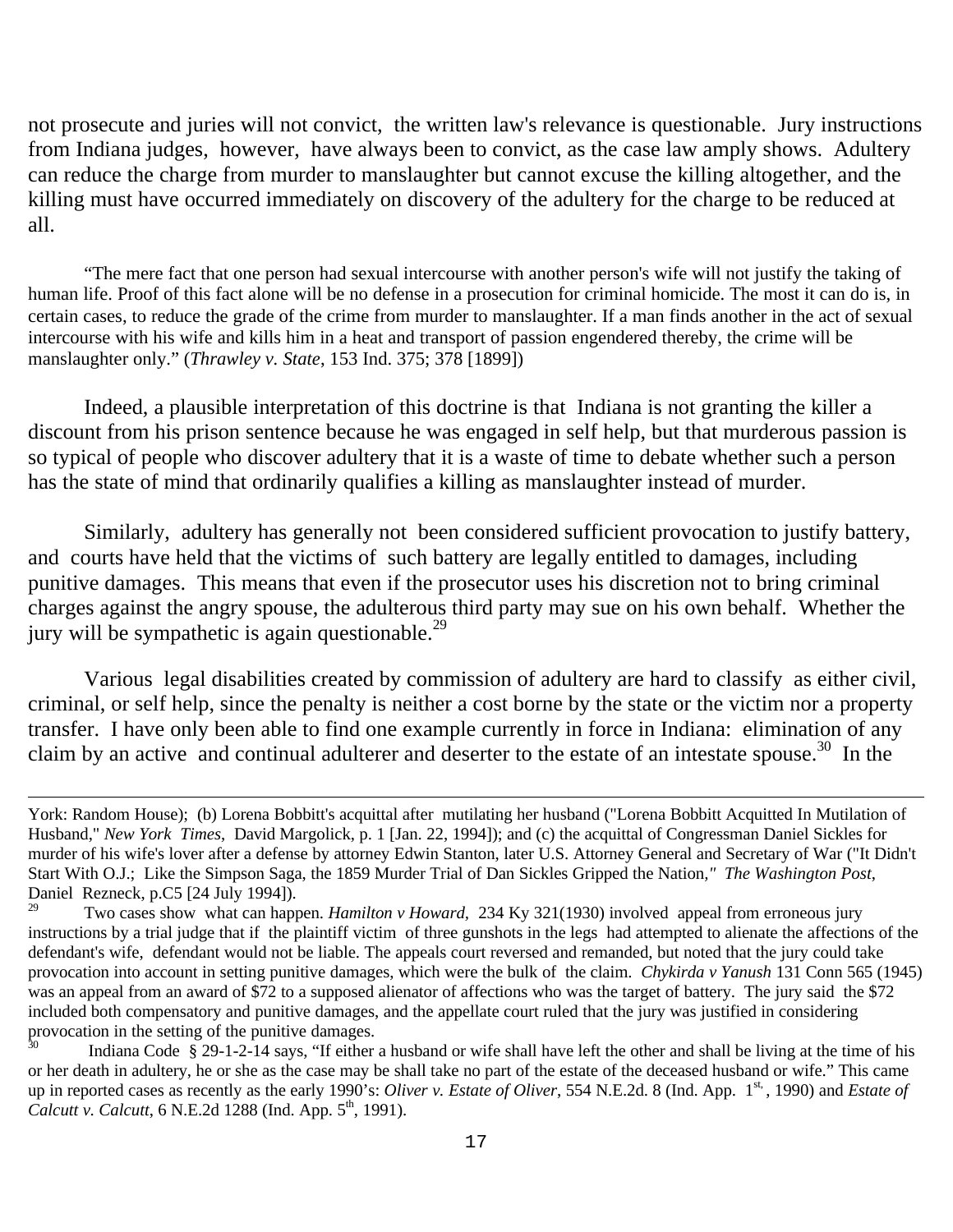not prosecute and juries will not convict, the written law's relevance is questionable. Jury instructions from Indiana judges, however, have always been to convict, as the case law amply shows. Adultery can reduce the charge from murder to manslaughter but cannot excuse the killing altogether, and the killing must have occurred immediately on discovery of the adultery for the charge to be reduced at all.

"The mere fact that one person had sexual intercourse with another person's wife will not justify the taking of human life. Proof of this fact alone will be no defense in a prosecution for criminal homicide. The most it can do is, in certain cases, to reduce the grade of the crime from murder to manslaughter. If a man finds another in the act of sexual intercourse with his wife and kills him in a heat and transport of passion engendered thereby, the crime will be manslaughter only." (*Thrawley v. State*, 153 Ind. 375; 378 [1899])

Indeed, a plausible interpretation of this doctrine is that Indiana is not granting the killer a discount from his prison sentence because he was engaged in self help, but that murderous passion is so typical of people who discover adultery that it is a waste of time to debate whether such a person has the state of mind that ordinarily qualifies a killing as manslaughter instead of murder.

Similarly, adultery has generally not been considered sufficient provocation to justify battery, and courts have held that the victims of such battery are legally entitled to damages, including punitive damages. This means that even if the prosecutor uses his discretion not to bring criminal charges against the angry spouse, the adulterous third party may sue on his own behalf. Whether the jury will be sympathetic is again questionable.<sup>29</sup>

Various legal disabilities created by commission of adultery are hard to classify as either civil, criminal, or self help, since the penalty is neither a cost borne by the state or the victim nor a property transfer. I have only been able to find one example currently in force in Indiana: elimination of any claim by an active and continual adulterer and deserter to the estate of an intestate spouse.<sup>30</sup> In the

 $\overline{a}$ 

York: Random House); (b) Lorena Bobbitt's acquittal after mutilating her husband ("Lorena Bobbitt Acquitted In Mutilation of Husband," *New York Times*, David Margolick, p. 1 [Jan. 22, 1994]); and (c) the acquittal of Congressman Daniel Sickles for murder of his wife's lover after a defense by attorney Edwin Stanton, later U.S. Attorney General and Secretary of War ("It Didn't Start With O.J.; Like the Simpson Saga, the 1859 Murder Trial of Dan Sickles Gripped the Nation*," The Washington Post*, Daniel Rezneck, p.C5 [24 July 1994]).<br>Two cases show what can beny

Two cases show what can happen. *Hamilton v Howard*, 234 Ky 321(1930) involved appeal from erroneous jury instructions by a trial judge that if the plaintiff victim of three gunshots in the legs had attempted to alienate the affections of the defendant's wife, defendant would not be liable. The appeals court reversed and remanded, but noted that the jury could take provocation into account in setting punitive damages, which were the bulk of the claim. *Chykirda v Yanush* 131 Conn 565 (1945) was an appeal from an award of \$72 to a supposed alienator of affections who was the target of battery. The jury said the \$72 included both compensatory and punitive damages, and the appellate court ruled that the jury was justified in considering provocation in the setting of the punitive damages.

Indiana Code § 29-1-2-14 says, "If either a husband or wife shall have left the other and shall be living at the time of his or her death in adultery, he or she as the case may be shall take no part of the estate of the deceased husband or wife." This came up in reported cases as recently as the early 1990's: *Oliver v. Estate of Oliver*, 554 N.E.2d. 8 (Ind. App. 1<sup>st,</sup>, 1990) and *Estate of Calcutt v. Calcutt*, 6 N.E.2d 1288 (Ind. App. 5<sup>th</sup>, 1991).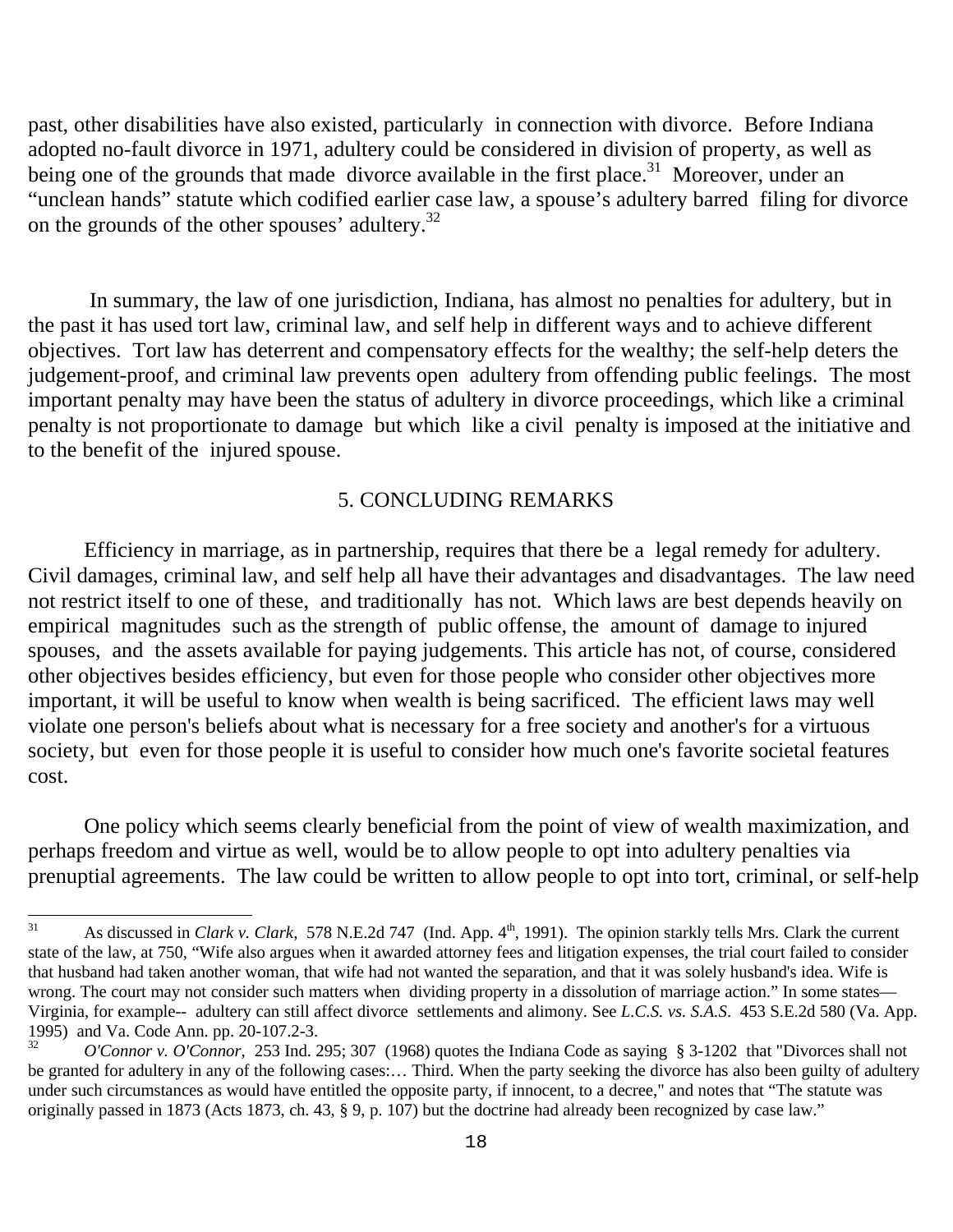past, other disabilities have also existed, particularly in connection with divorce. Before Indiana adopted no-fault divorce in 1971, adultery could be considered in division of property, as well as being one of the grounds that made divorce available in the first place.<sup>31</sup> Moreover, under an "unclean hands" statute which codified earlier case law, a spouse's adultery barred filing for divorce on the grounds of the other spouses' adultery.<sup>32</sup>

 In summary, the law of one jurisdiction, Indiana, has almost no penalties for adultery, but in the past it has used tort law, criminal law, and self help in different ways and to achieve different objectives. Tort law has deterrent and compensatory effects for the wealthy; the self-help deters the judgement-proof, and criminal law prevents open adultery from offending public feelings. The most important penalty may have been the status of adultery in divorce proceedings, which like a criminal penalty is not proportionate to damage but which like a civil penalty is imposed at the initiative and to the benefit of the injured spouse.

## 5. CONCLUDING REMARKS

Efficiency in marriage, as in partnership, requires that there be a legal remedy for adultery. Civil damages, criminal law, and self help all have their advantages and disadvantages. The law need not restrict itself to one of these, and traditionally has not. Which laws are best depends heavily on empirical magnitudes such as the strength of public offense, the amount of damage to injured spouses, and the assets available for paying judgements. This article has not, of course, considered other objectives besides efficiency, but even for those people who consider other objectives more important, it will be useful to know when wealth is being sacrificed. The efficient laws may well violate one person's beliefs about what is necessary for a free society and another's for a virtuous society, but even for those people it is useful to consider how much one's favorite societal features cost.

One policy which seems clearly beneficial from the point of view of wealth maximization, and perhaps freedom and virtue as well, would be to allow people to opt into adultery penalties via prenuptial agreements. The law could be written to allow people to opt into tort, criminal, or self-help

 $31$ As discussed in *Clark v. Clark*, 578 N.E.2d 747 (Ind. App. 4<sup>th</sup>, 1991). The opinion starkly tells Mrs. Clark the current state of the law, at 750, "Wife also argues when it awarded attorney fees and litigation expenses, the trial court failed to consider that husband had taken another woman, that wife had not wanted the separation, and that it was solely husband's idea. Wife is wrong. The court may not consider such matters when dividing property in a dissolution of marriage action." In some states— Virginia, for example-- adultery can still affect divorce settlements and alimony. See *L.C.S. vs. S.A.S*. 453 S.E.2d 580 (Va. App. 1995) and Va. Code Ann. pp. 20-107.2-3.

<sup>32</sup> *O'Connor v. O'Connor,* 253 Ind. 295; 307 (1968) quotes the Indiana Code as saying § 3-1202 that "Divorces shall not be granted for adultery in any of the following cases:… Third. When the party seeking the divorce has also been guilty of adultery under such circumstances as would have entitled the opposite party, if innocent, to a decree," and notes that "The statute was originally passed in 1873 (Acts 1873, ch. 43, § 9, p. 107) but the doctrine had already been recognized by case law."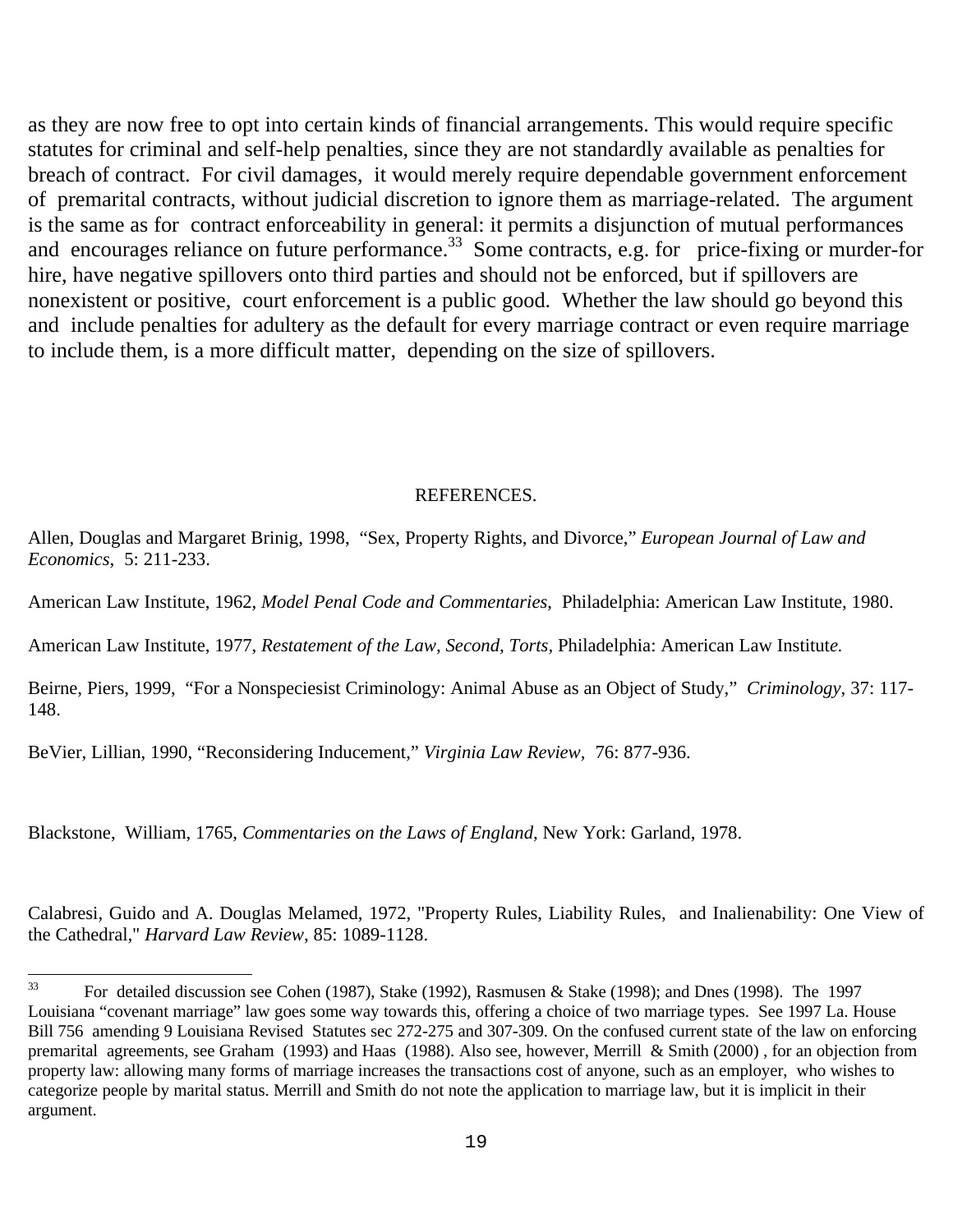as they are now free to opt into certain kinds of financial arrangements. This would require specific statutes for criminal and self-help penalties, since they are not standardly available as penalties for breach of contract. For civil damages, it would merely require dependable government enforcement of premarital contracts, without judicial discretion to ignore them as marriage-related. The argument is the same as for contract enforceability in general: it permits a disjunction of mutual performances and encourages reliance on future performance.<sup>33</sup> Some contracts, e.g. for price-fixing or murder-for hire, have negative spillovers onto third parties and should not be enforced, but if spillovers are nonexistent or positive, court enforcement is a public good. Whether the law should go beyond this and include penalties for adultery as the default for every marriage contract or even require marriage to include them, is a more difficult matter, depending on the size of spillovers.

#### REFERENCES.

Allen, Douglas and Margaret Brinig, 1998, "Sex, Property Rights, and Divorce," *European Journal of Law and Economics,* 5: 211-233.

American Law Institute, 1962, *Model Penal Code and Commentaries*, Philadelphia: American Law Institute, 1980.

American Law Institute, 1977, *Restatement of the Law, Second, Torts,* Philadelphia: American Law Institut*e.*

Beirne, Piers, 1999, "For a Nonspeciesist Criminology: Animal Abuse as an Object of Study," *Criminology*, 37: 117- 148.

BeVier, Lillian, 1990, "Reconsidering Inducement," *Virginia Law Review,* 76: 877-936.

Blackstone, William, 1765, *Commentaries on the Laws of England*, New York: Garland, 1978.

Calabresi, Guido and A. Douglas Melamed, 1972, "Property Rules, Liability Rules, and Inalienability: One View of the Cathedral," *Harvard Law Review*, 85: 1089-1128.

 $33$ <sup>33</sup> For detailed discussion see Cohen (1987), Stake (1992), Rasmusen & Stake (1998); and Dnes (1998). The 1997 Louisiana "covenant marriage" law goes some way towards this, offering a choice of two marriage types. See 1997 La. House Bill 756 amending 9 Louisiana Revised Statutes sec 272-275 and 307-309. On the confused current state of the law on enforcing premarital agreements, see Graham (1993) and Haas (1988). Also see, however, Merrill & Smith (2000) , for an objection from property law: allowing many forms of marriage increases the transactions cost of anyone, such as an employer, who wishes to categorize people by marital status. Merrill and Smith do not note the application to marriage law, but it is implicit in their argument.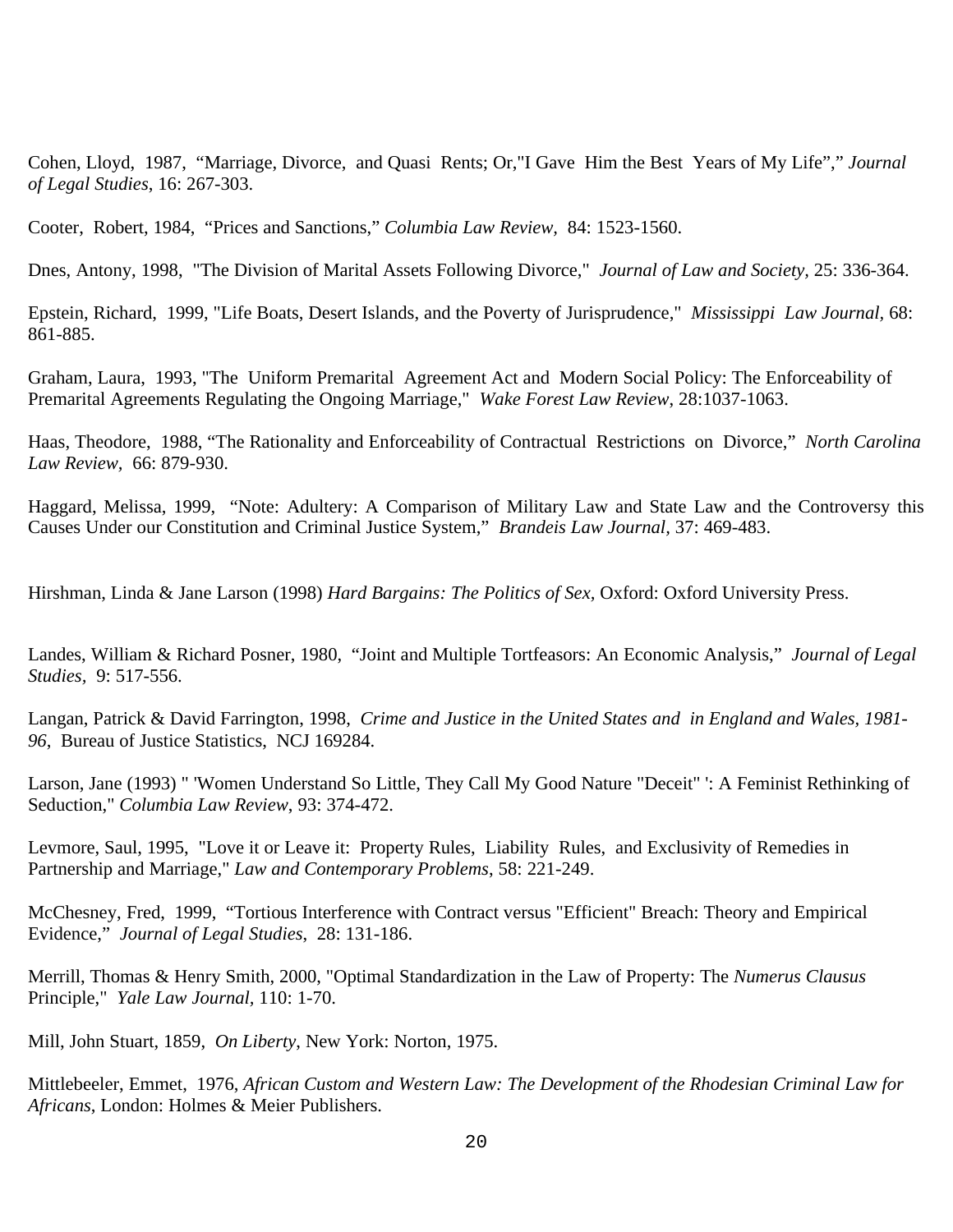Cohen, Lloyd, 1987, "Marriage, Divorce, and Quasi Rents; Or,"I Gave Him the Best Years of My Life"," *Journal of Legal Studies*, 16: 267-303.

Cooter, Robert, 1984, "Prices and Sanctions," *Columbia Law Review,* 84: 1523-1560.

Dnes, Antony, 1998, "The Division of Marital Assets Following Divorce," *Journal of Law and Society,* 25: 336-364.

Epstein, Richard, 1999, "Life Boats, Desert Islands, and the Poverty of Jurisprudence," *Mississippi Law Journal,* 68: 861-885.

Graham, Laura, 1993, "The Uniform Premarital Agreement Act and Modern Social Policy: The Enforceability of Premarital Agreements Regulating the Ongoing Marriage," *Wake Forest Law Review*, 28:1037-1063.

Haas, Theodore, 1988, "The Rationality and Enforceability of Contractual Restrictions on Divorce," *North Carolina Law Review,* 66: 879-930.

Haggard, Melissa, 1999, "Note: Adultery: A Comparison of Military Law and State Law and the Controversy this Causes Under our Constitution and Criminal Justice System," *Brandeis Law Journal,* 37: 469-483.

Hirshman, Linda & Jane Larson (1998) *Hard Bargains: The Politics of Sex,* Oxford: Oxford University Press.

Landes, William & Richard Posner, 1980, "Joint and Multiple Tortfeasors: An Economic Analysis," *Journal of Legal Studies,* 9: 517-556.

Langan, Patrick & David Farrington, 1998, *Crime and Justice in the United States and in England and Wales, 1981- 96*, Bureau of Justice Statistics, NCJ 169284.

Larson, Jane (1993) " 'Women Understand So Little, They Call My Good Nature "Deceit" ': A Feminist Rethinking of Seduction," *Columbia Law Review*, 93: 374-472.

Levmore, Saul, 1995, "Love it or Leave it: Property Rules, Liability Rules, and Exclusivity of Remedies in Partnership and Marriage," *Law and Contemporary Problems*, 58: 221-249.

McChesney, Fred, 1999, "Tortious Interference with Contract versus "Efficient" Breach: Theory and Empirical Evidence," *Journal of Legal Studies*, 28: 131-186.

Merrill, Thomas & Henry Smith, 2000, "Optimal Standardization in the Law of Property: The *Numerus Clausus* Principle," *Yale Law Journal,* 110: 1-70.

Mill, John Stuart, 1859, *On Liberty*, New York: Norton, 1975.

Mittlebeeler, Emmet, 1976, *African Custom and Western Law: The Development of the Rhodesian Criminal Law for Africans*, London: Holmes & Meier Publishers.